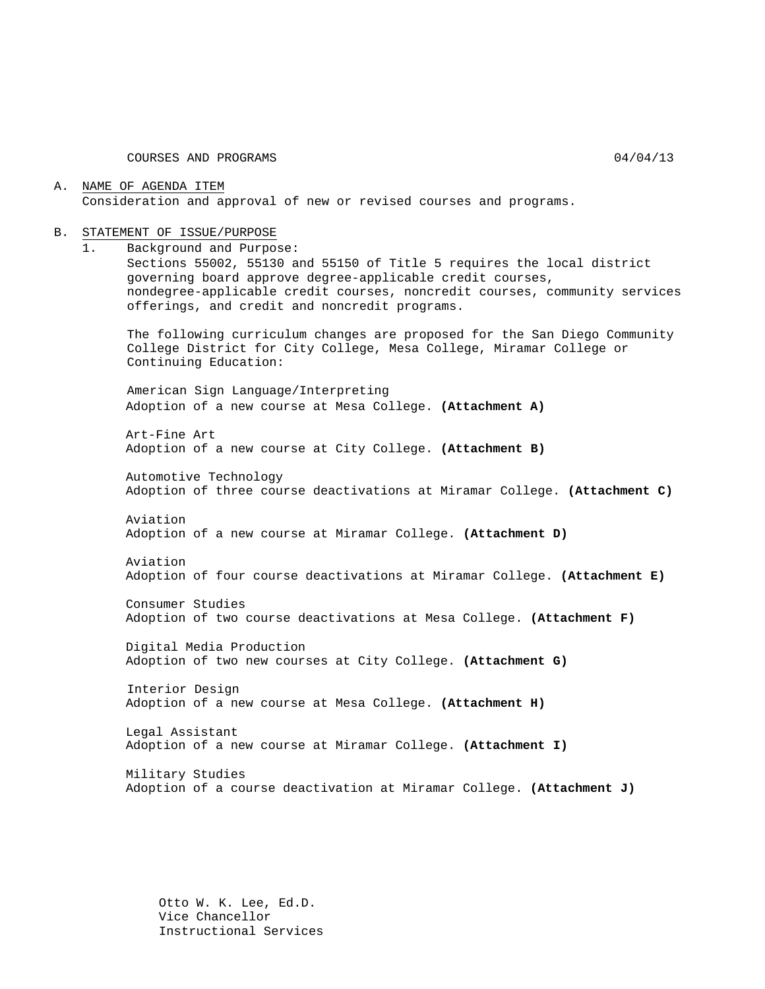COURSES AND PROGRAMS 04/04/13

### A. NAME OF AGENDA ITEM Consideration and approval of new or revised courses and programs.

#### B. STATEMENT OF ISSUE/PURPOSE

1. Background and Purpose: Sections 55002, 55130 and 55150 of Title 5 requires the local district

governing board approve degree-applicable credit courses, nondegree-applicable credit courses, noncredit courses, community services offerings, and credit and noncredit programs.

The following curriculum changes are proposed for the San Diego Community College District for City College, Mesa College, Miramar College or Continuing Education:

American Sign Language/Interpreting Adoption of a new course at Mesa College. **(Attachment A)**

Art-Fine Art Adoption of a new course at City College. **(Attachment B)**

Automotive Technology Adoption of three course deactivations at Miramar College. **(Attachment C)**

Aviation Adoption of a new course at Miramar College. **(Attachment D)**

Aviation Adoption of four course deactivations at Miramar College. **(Attachment E)**

Consumer Studies Adoption of two course deactivations at Mesa College. **(Attachment F)**

Digital Media Production Adoption of two new courses at City College. **(Attachment G)**

Interior Design Adoption of a new course at Mesa College. **(Attachment H)**

Legal Assistant Adoption of a new course at Miramar College. **(Attachment I)**

Military Studies Adoption of a course deactivation at Miramar College. **(Attachment J)**

Otto W. K. Lee, Ed.D. Vice Chancellor Instructional Services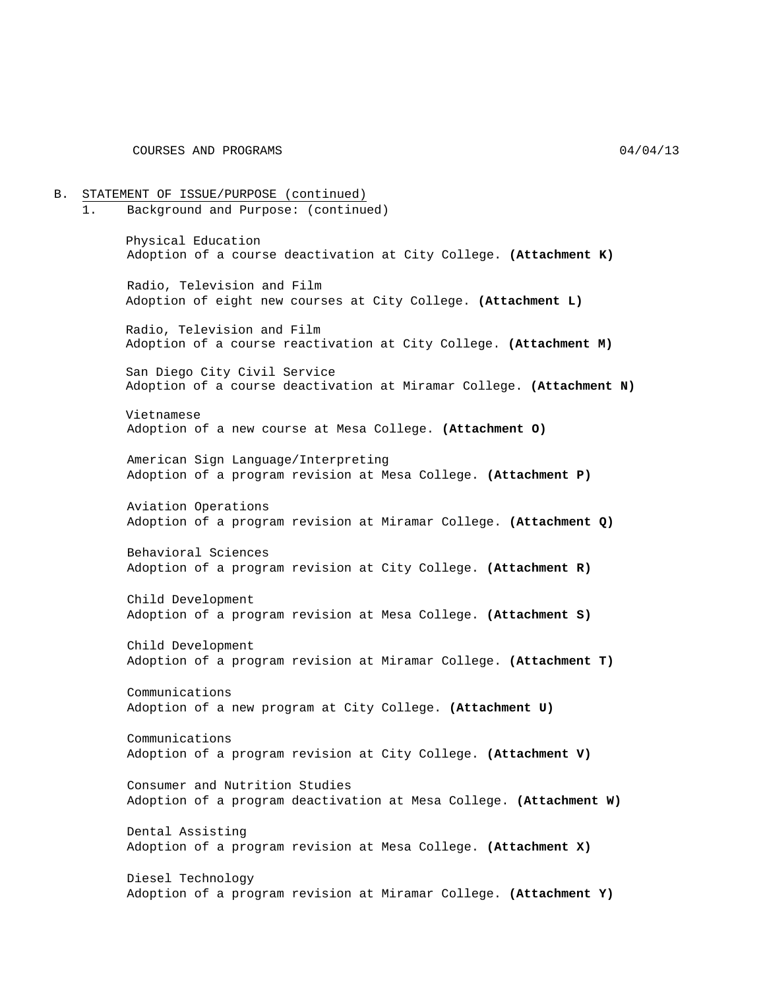B. STATEMENT OF ISSUE/PURPOSE (continued) 1. Background and Purpose: (continued) Physical Education Adoption of a course deactivation at City College. **(Attachment K)** Radio, Television and Film Adoption of eight new courses at City College. **(Attachment L)** Radio, Television and Film Adoption of a course reactivation at City College. **(Attachment M)** San Diego City Civil Service Adoption of a course deactivation at Miramar College. **(Attachment N)** Vietnamese Adoption of a new course at Mesa College. **(Attachment O)** American Sign Language/Interpreting Adoption of a program revision at Mesa College. **(Attachment P)** Aviation Operations Adoption of a program revision at Miramar College. **(Attachment Q)** Behavioral Sciences Adoption of a program revision at City College. **(Attachment R)** Child Development Adoption of a program revision at Mesa College. **(Attachment S)** Child Development Adoption of a program revision at Miramar College. **(Attachment T)** Communications Adoption of a new program at City College. **(Attachment U)** Communications Adoption of a program revision at City College. **(Attachment V)** Consumer and Nutrition Studies Adoption of a program deactivation at Mesa College. **(Attachment W)** Dental Assisting Adoption of a program revision at Mesa College. **(Attachment X)** Diesel Technology Adoption of a program revision at Miramar College. **(Attachment Y)**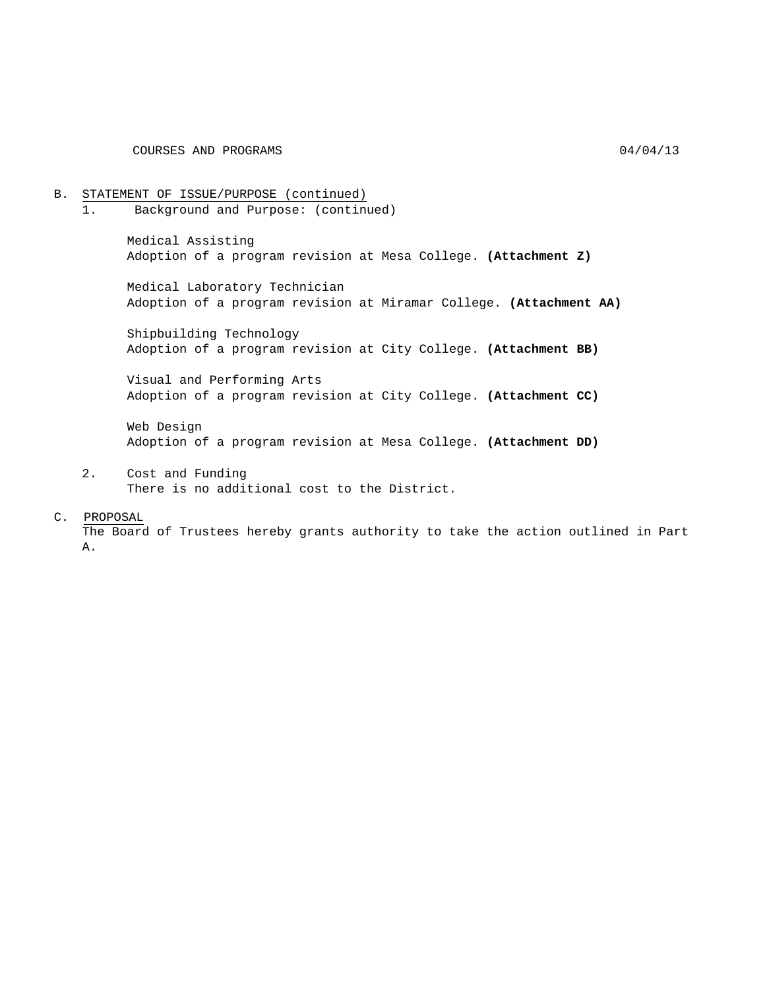COURSES AND PROGRAMS 04/04/13

B. STATEMENT OF ISSUE/PURPOSE (continued)<br>1. Background and Purpose: (continued) 1. Background and Purpose: (continued) Medical Assisting Adoption of a program revision at Mesa College. **(Attachment Z)** Medical Laboratory Technician Adoption of a program revision at Miramar College. **(Attachment AA)** Shipbuilding Technology Adoption of a program revision at City College. **(Attachment BB)** Visual and Performing Arts Adoption of a program revision at City College. **(Attachment CC)** Web Design Adoption of a program revision at Mesa College. **(Attachment DD)**

2. Cost and Funding There is no additional cost to the District.

C. PROPOSAL

The Board of Trustees hereby grants authority to take the action outlined in Part A.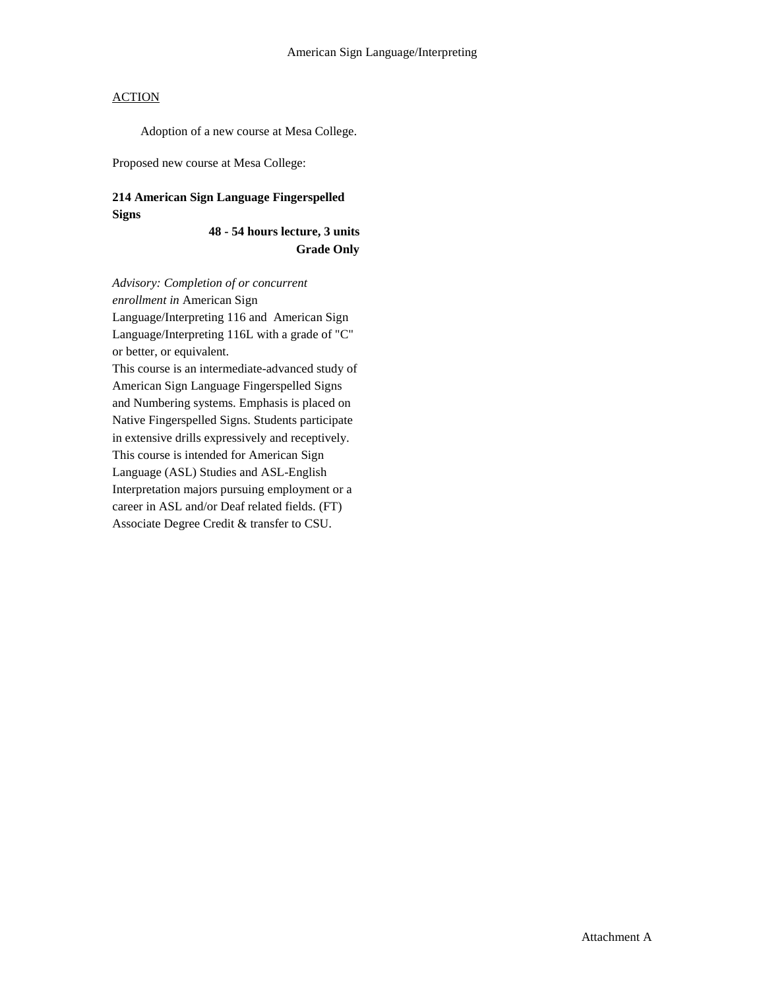Adoption of a new course at Mesa College.

Proposed new course at Mesa College:

## **214 American Sign Language Fingerspelled Signs**

**48 - 54 hours lecture, 3 units Grade Only**

*Advisory: Completion of or concurrent enrollment in* American Sign Language/Interpreting 116 and American Sign Language/Interpreting 116L with a grade of "C" or better, or equivalent. This course is an intermediate-advanced study of American Sign Language Fingerspelled Signs and Numbering systems. Emphasis is placed on Native Fingerspelled Signs. Students participate in extensive drills expressively and receptively. This course is intended for American Sign Language (ASL) Studies and ASL-English Interpretation majors pursuing employment or a career in ASL and/or Deaf related fields. (FT) Associate Degree Credit & transfer to CSU.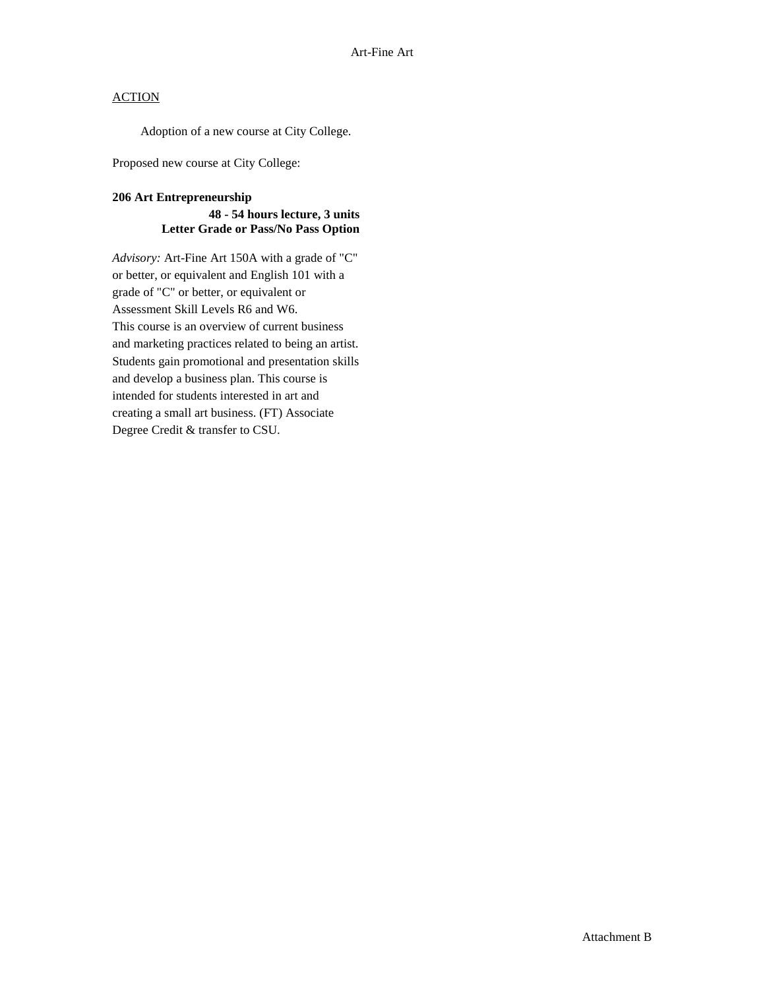Adoption of a new course at City College.

Proposed new course at City College:

### **206 Art Entrepreneurship**

### **48 - 54 hours lecture, 3 units Letter Grade or Pass/No Pass Option**

*Advisory:* Art-Fine Art 150A with a grade of "C" or better, or equivalent and English 101 with a grade of "C" or better, or equivalent or Assessment Skill Levels R6 and W6. This course is an overview of current business and marketing practices related to being an artist. Students gain promotional and presentation skills and develop a business plan. This course is intended for students interested in art and creating a small art business. (FT) Associate Degree Credit & transfer to CSU.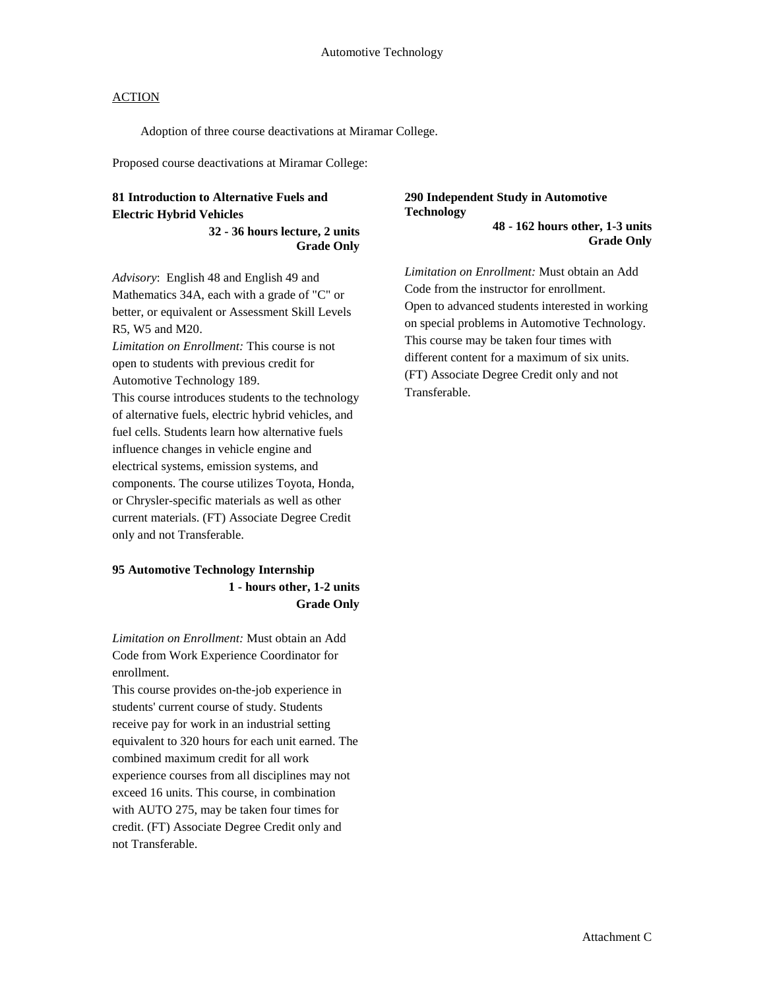Adoption of three course deactivations at Miramar College.

Proposed course deactivations at Miramar College:

## **81 Introduction to Alternative Fuels and Electric Hybrid Vehicles**

**32 - 36 hours lecture, 2 units Grade Only** 

*Advisory*: English 48 and English 49 and Mathematics 34A, each with a grade of "C" or better, or equivalent or Assessment Skill Levels R5, W5 and M20.

*Limitation on Enrollment:* This course is not open to students with previous credit for Automotive Technology 189.

This course introduces students to the technology of alternative fuels, electric hybrid vehicles, and fuel cells. Students learn how alternative fuels influence changes in vehicle engine and electrical systems, emission systems, and components. The course utilizes Toyota, Honda, or Chrysler-specific materials as well as other current materials. (FT) Associate Degree Credit only and not Transferable.

### **95 Automotive Technology Internship 1 - hours other, 1-2 units Grade Only**

*Limitation on Enrollment:* Must obtain an Add Code from Work Experience Coordinator for enrollment.

This course provides on-the-job experience in students' current course of study. Students receive pay for work in an industrial setting equivalent to 320 hours for each unit earned. The combined maximum credit for all work experience courses from all disciplines may not exceed 16 units. This course, in combination with AUTO 275, may be taken four times for credit. (FT) Associate Degree Credit only and not Transferable.

#### **290 Independent Study in Automotive Technology 48 - 162 hours other, 1-3 units**

**Grade Only** 

*Limitation on Enrollment:* Must obtain an Add Code from the instructor for enrollment. Open to advanced students interested in working on special problems in Automotive Technology. This course may be taken four times with different content for a maximum of six units. (FT) Associate Degree Credit only and not Transferable.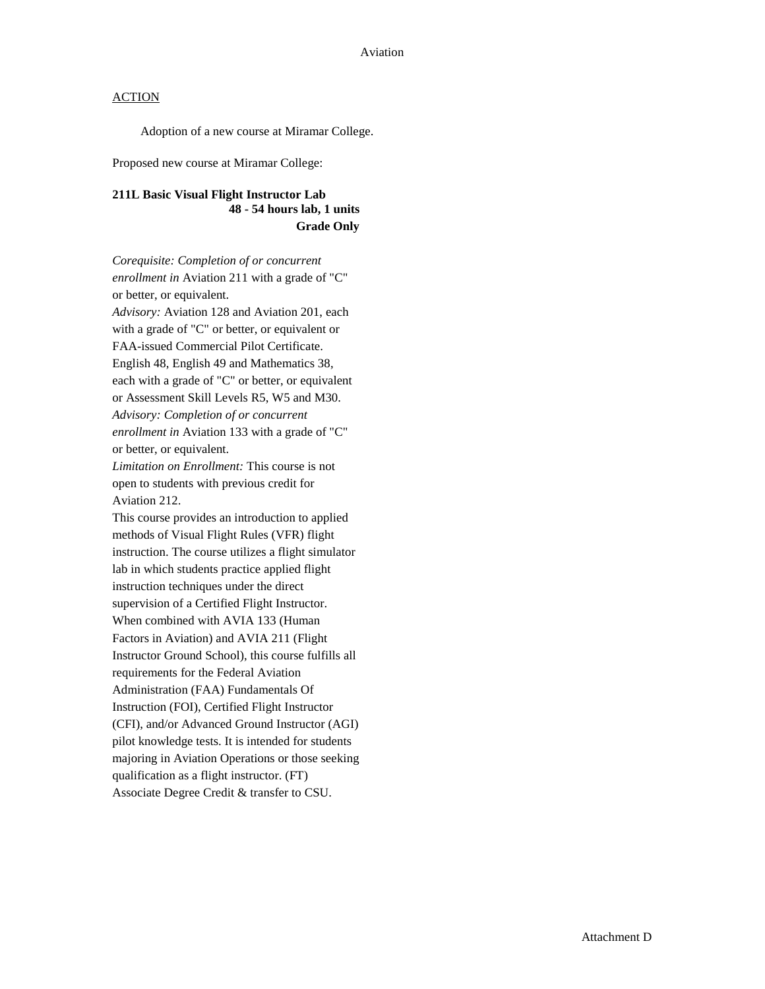Adoption of a new course at Miramar College.

Proposed new course at Miramar College:

## **211L Basic Visual Flight Instructor Lab 48 - 54 hours lab, 1 units Grade Only**

*Corequisite: Completion of or concurrent enrollment in* Aviation 211 with a grade of "C" or better, or equivalent. *Advisory:* Aviation 128 and Aviation 201, each with a grade of "C" or better, or equivalent or FAA-issued Commercial Pilot Certificate. English 48, English 49 and Mathematics 38, each with a grade of "C" or better, or equivalent or Assessment Skill Levels R5, W5 and M30. *Advisory: Completion of or concurrent enrollment in* Aviation 133 with a grade of "C" or better, or equivalent. *Limitation on Enrollment:* This course is not open to students with previous credit for Aviation 212. This course provides an introduction to applied methods of Visual Flight Rules (VFR) flight instruction. The course utilizes a flight simulator lab in which students practice applied flight instruction techniques under the direct supervision of a Certified Flight Instructor. When combined with AVIA 133 (Human Factors in Aviation) and AVIA 211 (Flight Instructor Ground School), this course fulfills all requirements for the Federal Aviation Administration (FAA) Fundamentals Of Instruction (FOI), Certified Flight Instructor (CFI), and/or Advanced Ground Instructor (AGI) pilot knowledge tests. It is intended for students majoring in Aviation Operations or those seeking qualification as a flight instructor. (FT) Associate Degree Credit & transfer to CSU.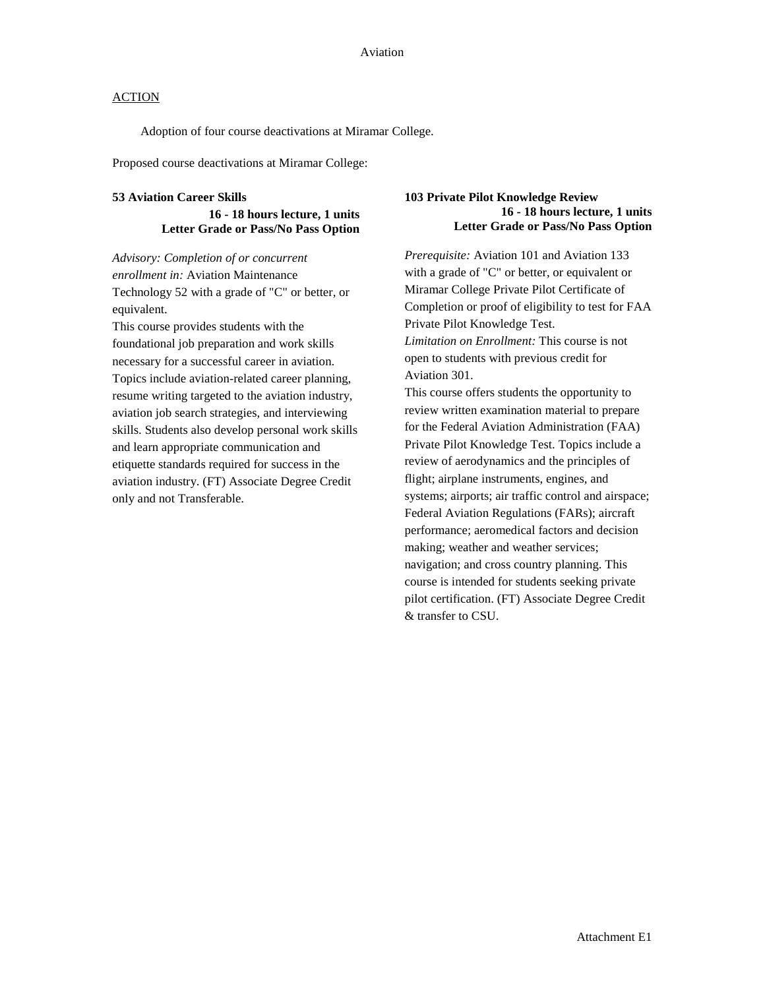Adoption of four course deactivations at Miramar College.

Proposed course deactivations at Miramar College:

#### **53 Aviation Career Skills**

**16 - 18 hours lecture, 1 units Letter Grade or Pass/No Pass Option** 

*Advisory: Completion of or concurrent enrollment in:* Aviation Maintenance Technology 52 with a grade of "C" or better, or equivalent.

This course provides students with the foundational job preparation and work skills necessary for a successful career in aviation. Topics include aviation-related career planning, resume writing targeted to the aviation industry, aviation job search strategies, and interviewing skills. Students also develop personal work skills and learn appropriate communication and etiquette standards required for success in the aviation industry. (FT) Associate Degree Credit only and not Transferable.

#### **103 Private Pilot Knowledge Review 16 - 18 hours lecture, 1 units Letter Grade or Pass/No Pass Option**

*Prerequisite:* Aviation 101 and Aviation 133 with a grade of "C" or better, or equivalent or Miramar College Private Pilot Certificate of Completion or proof of eligibility to test for FAA Private Pilot Knowledge Test. *Limitation on Enrollment:* This course is not open to students with previous credit for Aviation 301.

This course offers students the opportunity to review written examination material to prepare for the Federal Aviation Administration (FAA) Private Pilot Knowledge Test. Topics include a review of aerodynamics and the principles of flight; airplane instruments, engines, and systems; airports; air traffic control and airspace; Federal Aviation Regulations (FARs); aircraft performance; aeromedical factors and decision making; weather and weather services; navigation; and cross country planning. This course is intended for students seeking private pilot certification. (FT) Associate Degree Credit & transfer to CSU.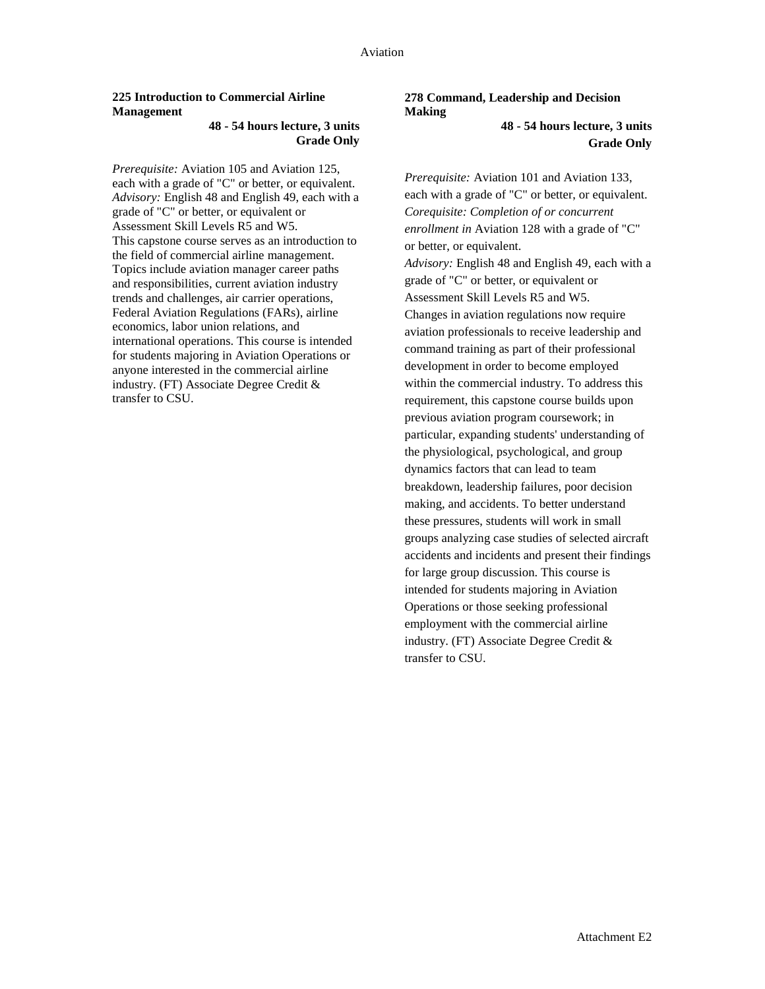### **225 Introduction to Commercial Airline Management**

#### **48 - 54 hours lecture, 3 units Grade Only**

*Prerequisite:* Aviation 105 and Aviation 125, each with a grade of "C" or better, or equivalent. *Advisory:* English 48 and English 49, each with a grade of "C" or better, or equivalent or Assessment Skill Levels R5 and W5. This capstone course serves as an introduction to the field of commercial airline management. Topics include aviation manager career paths and responsibilities, current aviation industry trends and challenges, air carrier operations, Federal Aviation Regulations (FARs), airline economics, labor union relations, and international operations. This course is intended for students majoring in Aviation Operations or anyone interested in the commercial airline industry. (FT) Associate Degree Credit & transfer to CSU.

#### **278 Command, Leadership and Decision Making 48 - 54 hours lecture, 3 units**

**Grade Only**

*Prerequisite:* Aviation 101 and Aviation 133, each with a grade of "C" or better, or equivalent. *Corequisite: Completion of or concurrent enrollment in* Aviation 128 with a grade of "C" or better, or equivalent. *Advisory:* English 48 and English 49, each with a grade of "C" or better, or equivalent or Assessment Skill Levels R5 and W5. Changes in aviation regulations now require aviation professionals to receive leadership and command training as part of their professional development in order to become employed within the commercial industry. To address this requirement, this capstone course builds upon previous aviation program coursework; in particular, expanding students' understanding of the physiological, psychological, and group dynamics factors that can lead to team breakdown, leadership failures, poor decision making, and accidents. To better understand these pressures, students will work in small groups analyzing case studies of selected aircraft accidents and incidents and present their findings for large group discussion. This course is intended for students majoring in Aviation Operations or those seeking professional employment with the commercial airline industry. (FT) Associate Degree Credit & transfer to CSU.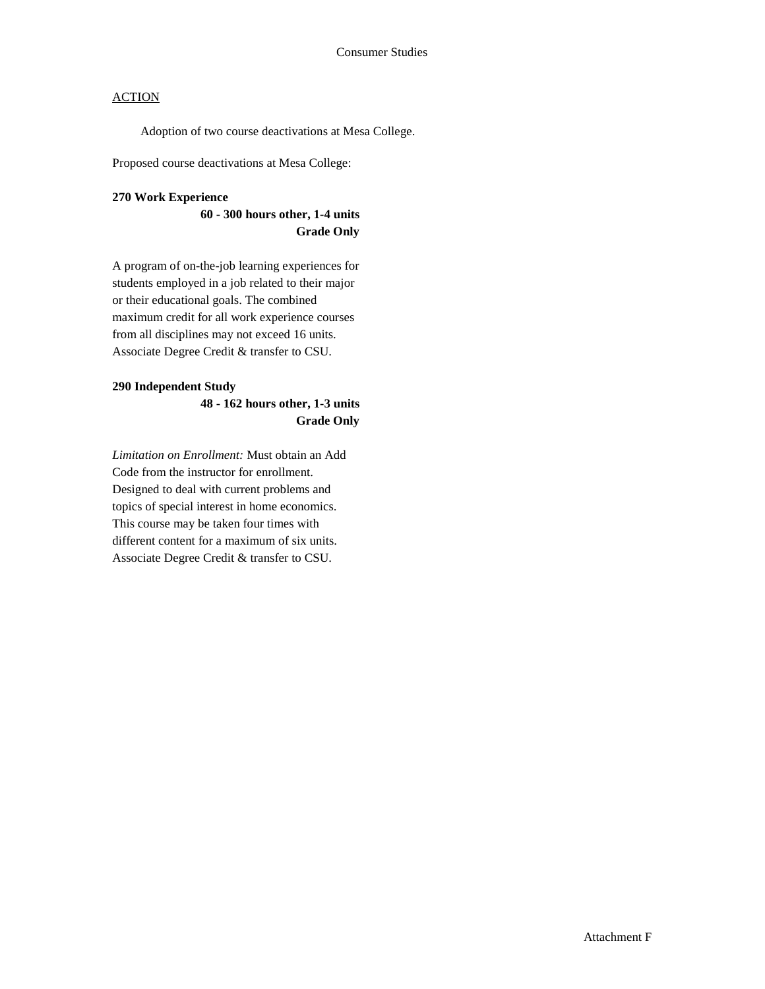Adoption of two course deactivations at Mesa College.

Proposed course deactivations at Mesa College:

### **270 Work Experience**

### **60 - 300 hours other, 1-4 units Grade Only**

A program of on-the-job learning experiences for students employed in a job related to their major or their educational goals. The combined maximum credit for all work experience courses from all disciplines may not exceed 16 units. Associate Degree Credit & transfer to CSU.

### **290 Independent Study**

## **48 - 162 hours other, 1-3 units Grade Only**

*Limitation on Enrollment:* Must obtain an Add Code from the instructor for enrollment. Designed to deal with current problems and topics of special interest in home economics. This course may be taken four times with different content for a maximum of six units. Associate Degree Credit & transfer to CSU.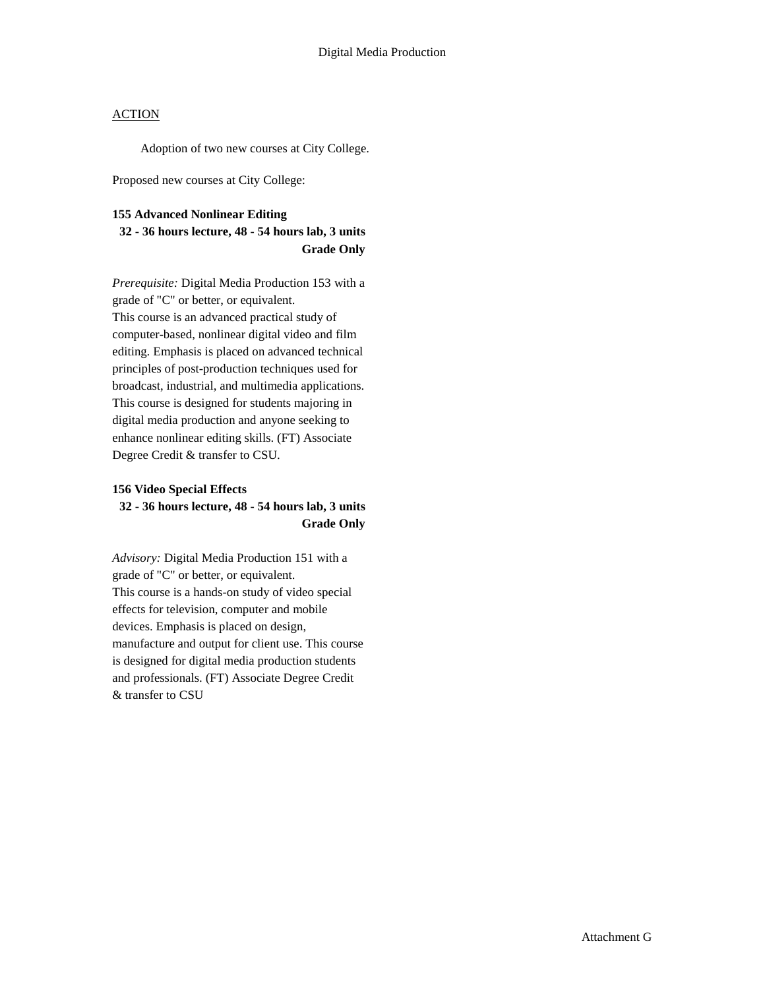Adoption of two new courses at City College.

Proposed new courses at City College:

## **155 Advanced Nonlinear Editing 32 - 36 hours lecture, 48 - 54 hours lab, 3 units Grade Only**

*Prerequisite:* Digital Media Production 153 with a grade of "C" or better, or equivalent. This course is an advanced practical study of computer-based, nonlinear digital video and film editing. Emphasis is placed on advanced technical principles of post-production techniques used for broadcast, industrial, and multimedia applications. This course is designed for students majoring in digital media production and anyone seeking to enhance nonlinear editing skills. (FT) Associate Degree Credit & transfer to CSU.

#### **156 Video Special Effects**

### **32 - 36 hours lecture, 48 - 54 hours lab, 3 units Grade Only**

*Advisory:* Digital Media Production 151 with a grade of "C" or better, or equivalent. This course is a hands-on study of video special effects for television, computer and mobile devices. Emphasis is placed on design, manufacture and output for client use. This course is designed for digital media production students and professionals. (FT) Associate Degree Credit & transfer to CSU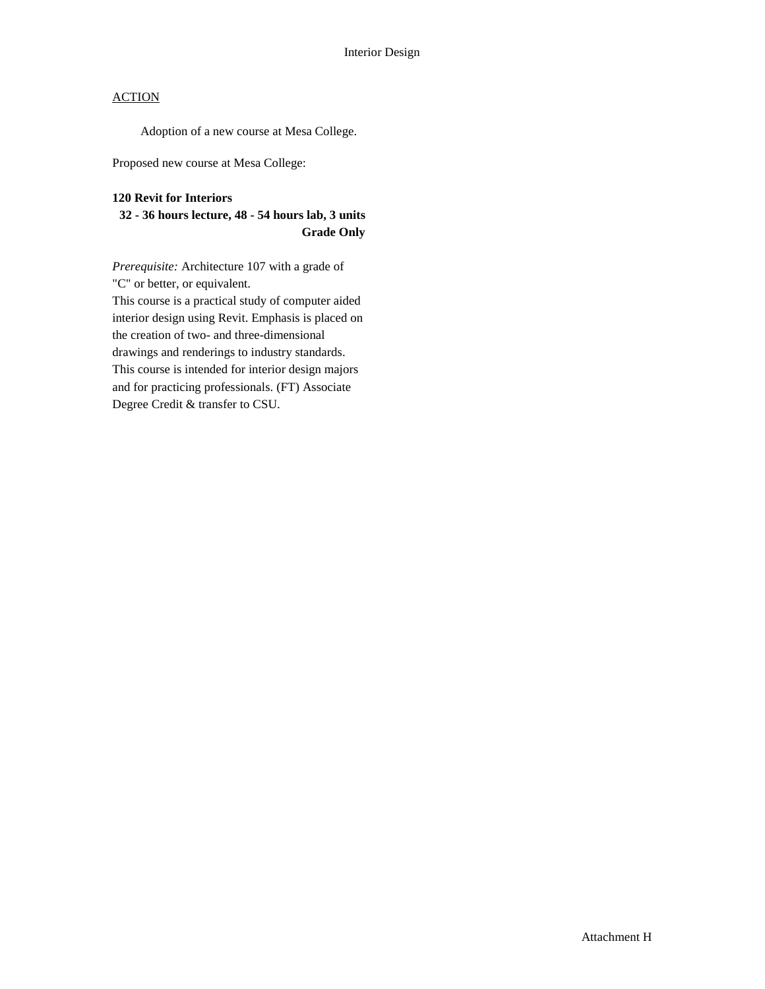Adoption of a new course at Mesa College.

Proposed new course at Mesa College:

### **120 Revit for Interiors**

## **32 - 36 hours lecture, 48 - 54 hours lab, 3 units Grade Only**

*Prerequisite:* Architecture 107 with a grade of "C" or better, or equivalent. This course is a practical study of computer aided interior design using Revit. Emphasis is placed on the creation of two- and three-dimensional drawings and renderings to industry standards. This course is intended for interior design majors and for practicing professionals. (FT) Associate Degree Credit & transfer to CSU.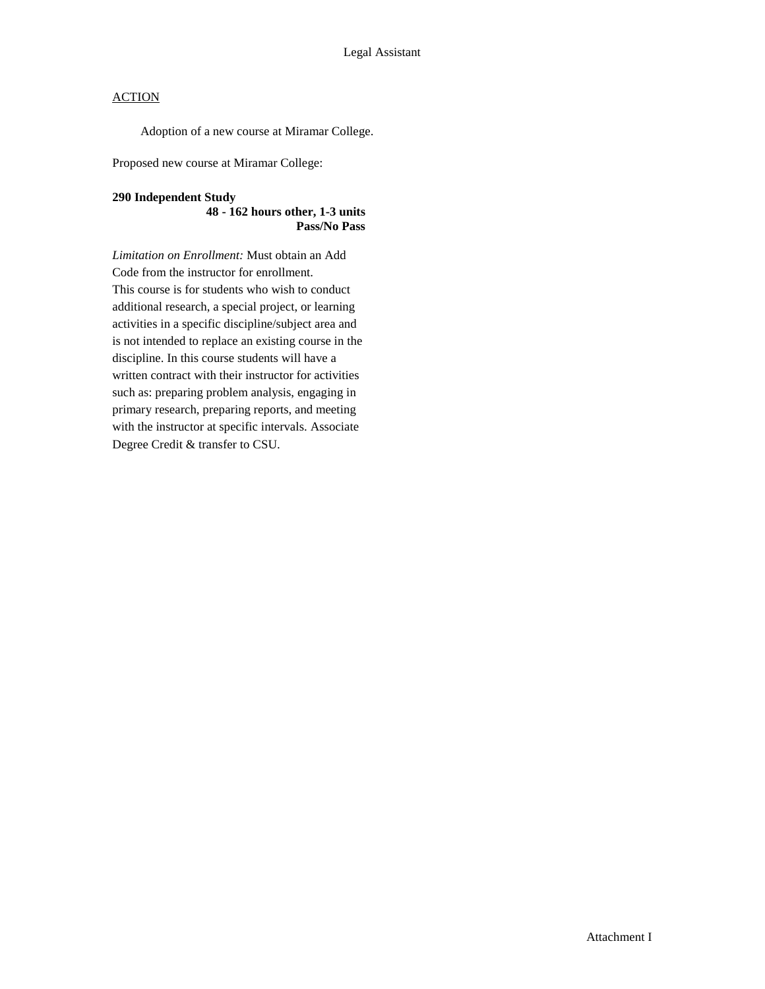Adoption of a new course at Miramar College.

Proposed new course at Miramar College:

### **290 Independent Study**

### **48 - 162 hours other, 1-3 units Pass/No Pass**

*Limitation on Enrollment:* Must obtain an Add Code from the instructor for enrollment. This course is for students who wish to conduct additional research, a special project, or learning activities in a specific discipline/subject area and is not intended to replace an existing course in the discipline. In this course students will have a written contract with their instructor for activities such as: preparing problem analysis, engaging in primary research, preparing reports, and meeting with the instructor at specific intervals. Associate Degree Credit & transfer to CSU.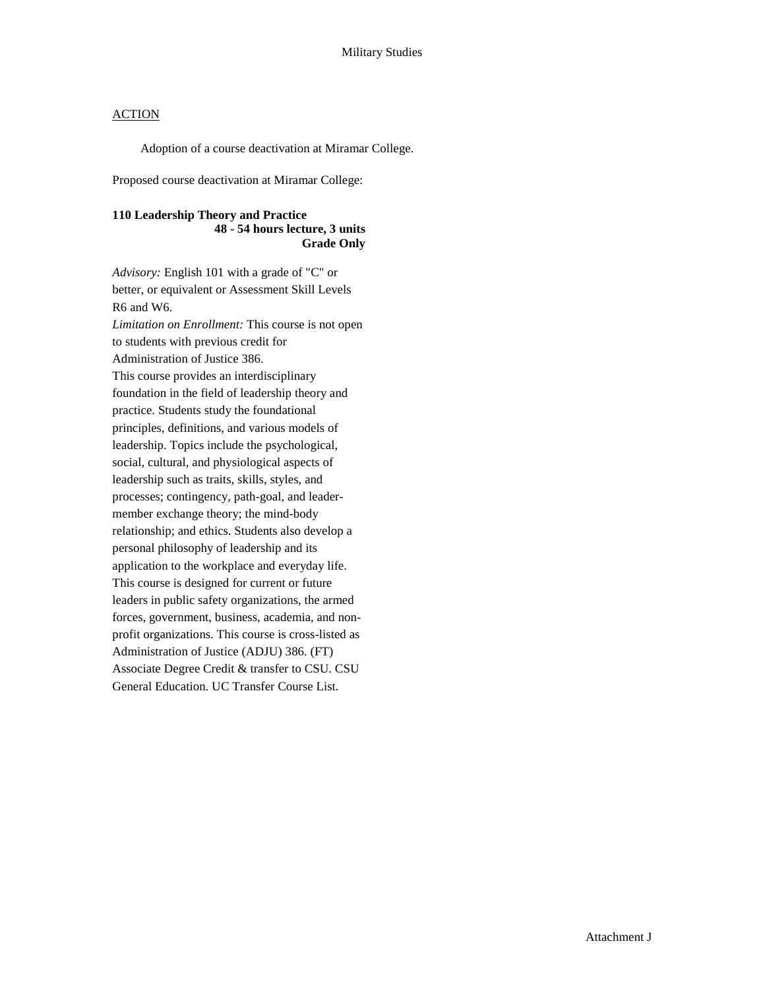Adoption of a course deactivation at Miramar College.

Proposed course deactivation at Miramar College:

### **110 Leadership Theory and Practice 48 - 54 hours lecture, 3 units Grade Only**

*Advisory:* English 101 with a grade of "C" or better, or equivalent or Assessment Skill Levels R6 and W6. *Limitation on Enrollment:* This course is not open to students with previous credit for Administration of Justice 386. This course provides an interdisciplinary foundation in the field of leadership theory and practice. Students study the foundational principles, definitions, and various models of leadership. Topics include the psychological, social, cultural, and physiological aspects of leadership such as traits, skills, styles, and processes; contingency, path-goal, and leadermember exchange theory; the mind-body relationship; and ethics. Students also develop a personal philosophy of leadership and its application to the workplace and everyday life. This course is designed for current or future leaders in public safety organizations, the armed forces, government, business, academia, and nonprofit organizations. This course is cross-listed as Administration of Justice (ADJU) 386. (FT) Associate Degree Credit & transfer to CSU. CSU General Education. UC Transfer Course List.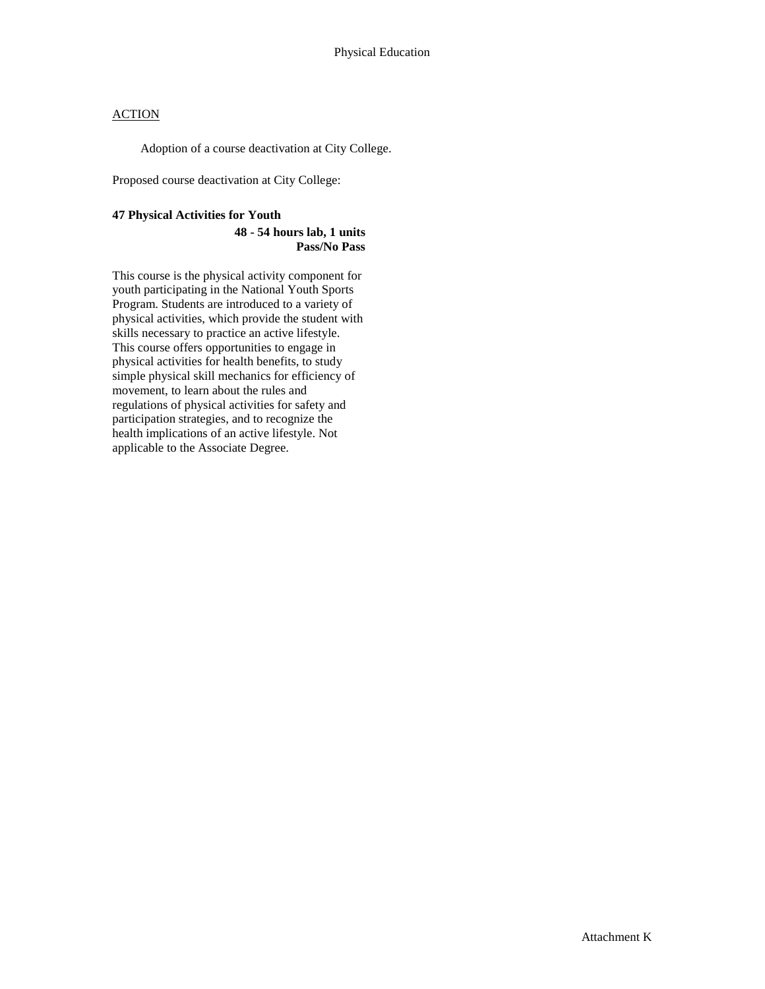Adoption of a course deactivation at City College.

Proposed course deactivation at City College:

### **47 Physical Activities for Youth**

#### **48 - 54 hours lab, 1 units Pass/No Pass**

This course is the physical activity component for youth participating in the National Youth Sports Program. Students are introduced to a variety of physical activities, which provide the student with skills necessary to practice an active lifestyle. This course offers opportunities to engage in physical activities for health benefits, to study simple physical skill mechanics for efficiency of movement, to learn about the rules and regulations of physical activities for safety and participation strategies, and to recognize the health implications of an active lifestyle. Not applicable to the Associate Degree.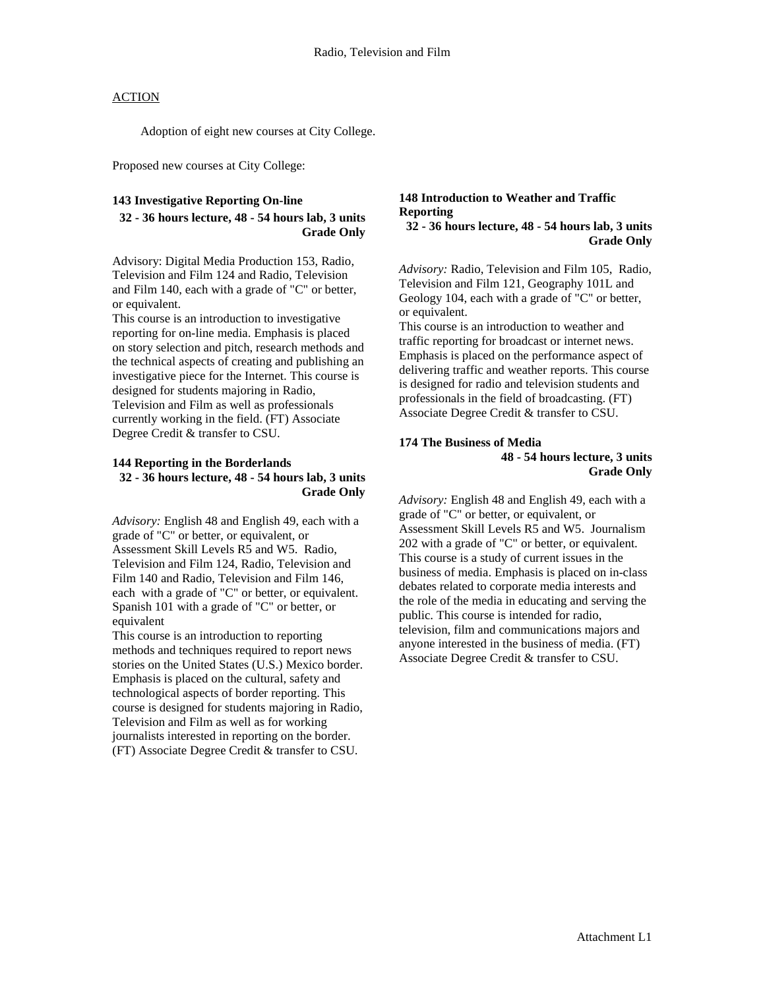Adoption of eight new courses at City College.

Proposed new courses at City College:

### **143 Investigative Reporting On-line**

## **32 - 36 hours lecture, 48 - 54 hours lab, 3 units Grade Only**

Advisory: Digital Media Production 153, Radio, Television and Film 124 and Radio, Television and Film 140, each with a grade of "C" or better, or equivalent.

This course is an introduction to investigative reporting for on-line media. Emphasis is placed on story selection and pitch, research methods and the technical aspects of creating and publishing an investigative piece for the Internet. This course is designed for students majoring in Radio, Television and Film as well as professionals currently working in the field. (FT) Associate Degree Credit & transfer to CSU.

### **144 Reporting in the Borderlands 32 - 36 hours lecture, 48 - 54 hours lab, 3 units Grade Only**

*Advisory:* English 48 and English 49, each with a grade of "C" or better, or equivalent, or Assessment Skill Levels R5 and W5. Radio, Television and Film 124, Radio, Television and Film 140 and Radio, Television and Film 146, each with a grade of "C" or better, or equivalent. Spanish 101 with a grade of "C" or better, or equivalent

This course is an introduction to reporting methods and techniques required to report news stories on the United States (U.S.) Mexico border. Emphasis is placed on the cultural, safety and technological aspects of border reporting. This course is designed for students majoring in Radio, Television and Film as well as for working journalists interested in reporting on the border. (FT) Associate Degree Credit & transfer to CSU.

### **148 Introduction to Weather and Traffic Reporting**

### **32 - 36 hours lecture, 48 - 54 hours lab, 3 units Grade Only**

*Advisory:* Radio, Television and Film 105, Radio, Television and Film 121, Geography 101L and Geology 104, each with a grade of "C" or better, or equivalent.

This course is an introduction to weather and traffic reporting for broadcast or internet news. Emphasis is placed on the performance aspect of delivering traffic and weather reports. This course is designed for radio and television students and professionals in the field of broadcasting. (FT) Associate Degree Credit & transfer to CSU.

### **174 The Business of Media 48 - 54 hours lecture, 3 units Grade Only**

*Advisory:* English 48 and English 49, each with a grade of "C" or better, or equivalent, or Assessment Skill Levels R5 and W5. Journalism 202 with a grade of "C" or better, or equivalent. This course is a study of current issues in the business of media. Emphasis is placed on in-class debates related to corporate media interests and the role of the media in educating and serving the public. This course is intended for radio, television, film and communications majors and anyone interested in the business of media. (FT) Associate Degree Credit & transfer to CSU.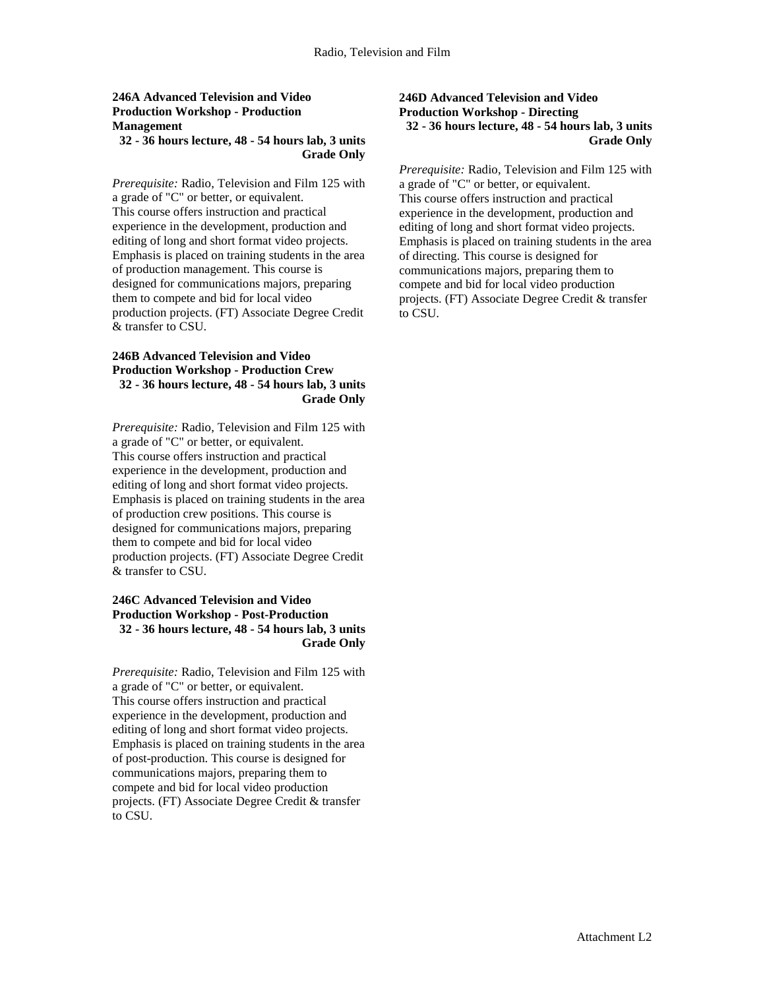### **246A Advanced Television and Video Production Workshop - Production Management**

### **32 - 36 hours lecture, 48 - 54 hours lab, 3 units Grade Only**

*Prerequisite:* Radio, Television and Film 125 with a grade of "C" or better, or equivalent. This course offers instruction and practical experience in the development, production and editing of long and short format video projects. Emphasis is placed on training students in the area of production management. This course is designed for communications majors, preparing them to compete and bid for local video production projects. (FT) Associate Degree Credit & transfer to CSU.

### **246B Advanced Television and Video Production Workshop - Production Crew 32 - 36 hours lecture, 48 - 54 hours lab, 3 units Grade Only**

*Prerequisite:* Radio, Television and Film 125 with a grade of "C" or better, or equivalent. This course offers instruction and practical experience in the development, production and editing of long and short format video projects. Emphasis is placed on training students in the area of production crew positions. This course is designed for communications majors, preparing them to compete and bid for local video production projects. (FT) Associate Degree Credit & transfer to CSU.

### **246C Advanced Television and Video Production Workshop - Post-Production 32 - 36 hours lecture, 48 - 54 hours lab, 3 units Grade Only**

*Prerequisite:* Radio, Television and Film 125 with a grade of "C" or better, or equivalent. This course offers instruction and practical experience in the development, production and editing of long and short format video projects. Emphasis is placed on training students in the area of post-production. This course is designed for communications majors, preparing them to compete and bid for local video production projects. (FT) Associate Degree Credit & transfer to CSU.

#### **246D Advanced Television and Video Production Workshop - Directing 32 - 36 hours lecture, 48 - 54 hours lab, 3 units Grade Only**

*Prerequisite:* Radio, Television and Film 125 with a grade of "C" or better, or equivalent. This course offers instruction and practical experience in the development, production and editing of long and short format video projects. Emphasis is placed on training students in the area of directing. This course is designed for communications majors, preparing them to compete and bid for local video production projects. (FT) Associate Degree Credit & transfer to CSU.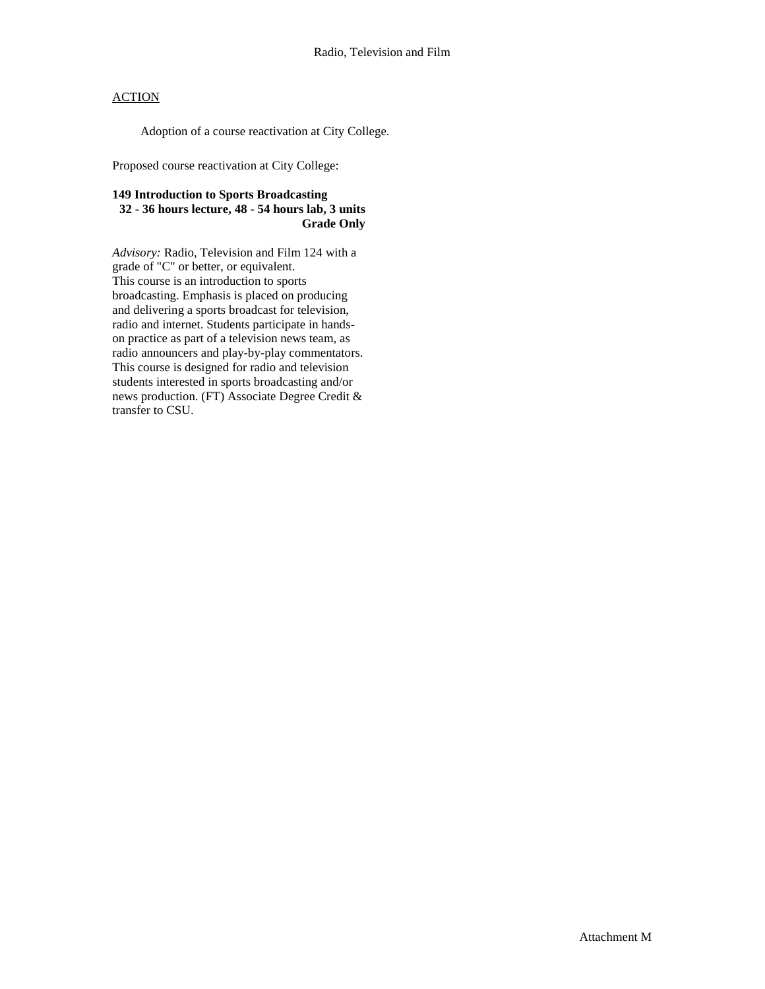Adoption of a course reactivation at City College.

Proposed course reactivation at City College:

### **149 Introduction to Sports Broadcasting 32 - 36 hours lecture, 48 - 54 hours lab, 3 units Grade Only**

*Advisory:* Radio, Television and Film 124 with a grade of "C" or better, or equivalent. This course is an introduction to sports broadcasting. Emphasis is placed on producing and delivering a sports broadcast for television, radio and internet. Students participate in handson practice as part of a television news team, as radio announcers and play-by-play commentators. This course is designed for radio and television students interested in sports broadcasting and/or news production. (FT) Associate Degree Credit & transfer to CSU.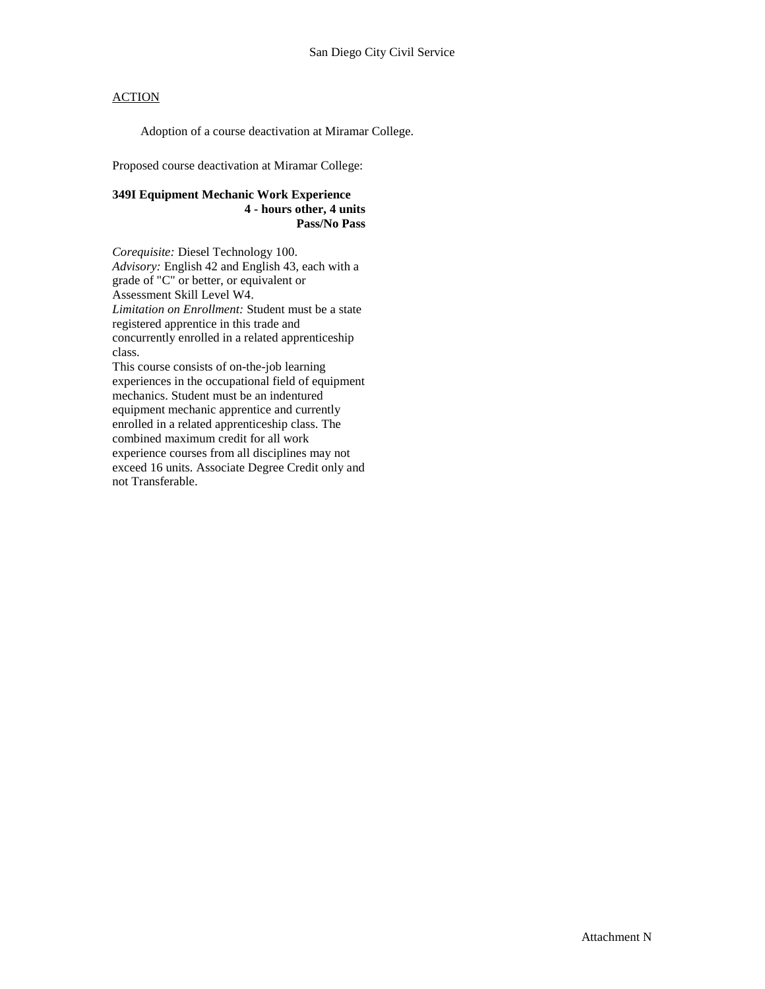Adoption of a course deactivation at Miramar College.

Proposed course deactivation at Miramar College:

### **349I Equipment Mechanic Work Experience 4 - hours other, 4 units Pass/No Pass**

*Corequisite:* Diesel Technology 100. *Advisory:* English 42 and English 43, each with a grade of "C" or better, or equivalent or Assessment Skill Level W4. *Limitation on Enrollment:* Student must be a state registered apprentice in this trade and concurrently enrolled in a related apprenticeship class.

This course consists of on-the-job learning experiences in the occupational field of equipment mechanics. Student must be an indentured equipment mechanic apprentice and currently enrolled in a related apprenticeship class. The combined maximum credit for all work experience courses from all disciplines may not exceed 16 units. Associate Degree Credit only and not Transferable.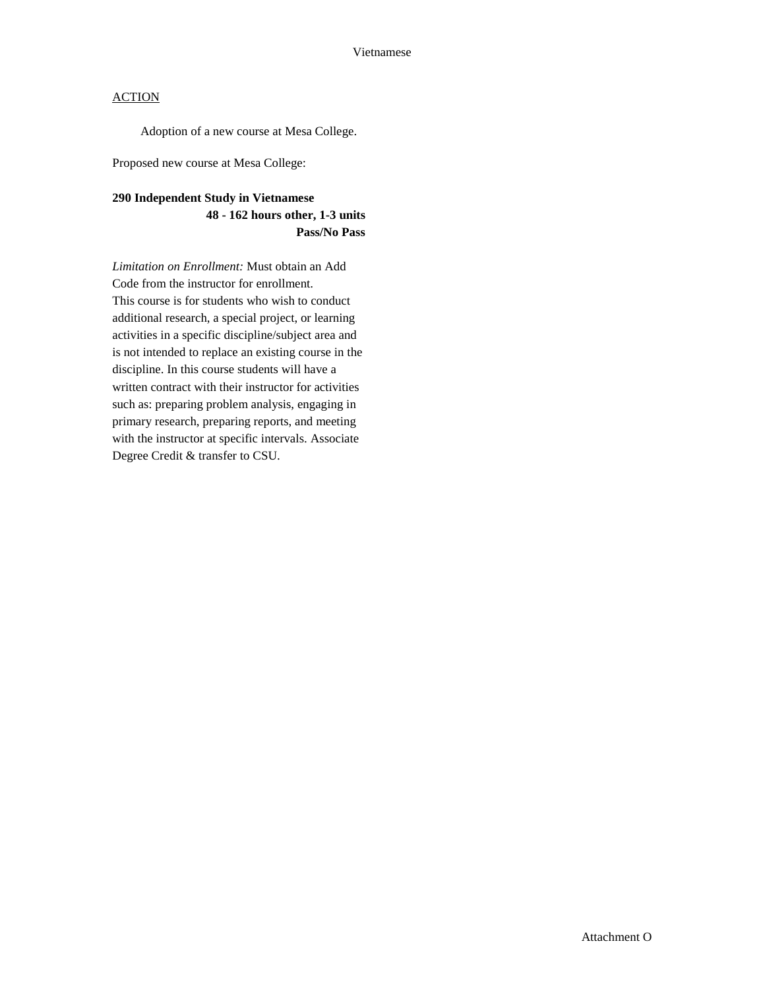Adoption of a new course at Mesa College.

Proposed new course at Mesa College:

## **290 Independent Study in Vietnamese 48 - 162 hours other, 1-3 units Pass/No Pass**

*Limitation on Enrollment:* Must obtain an Add Code from the instructor for enrollment. This course is for students who wish to conduct additional research, a special project, or learning activities in a specific discipline/subject area and is not intended to replace an existing course in the discipline. In this course students will have a written contract with their instructor for activities such as: preparing problem analysis, engaging in primary research, preparing reports, and meeting with the instructor at specific intervals. Associate Degree Credit & transfer to CSU.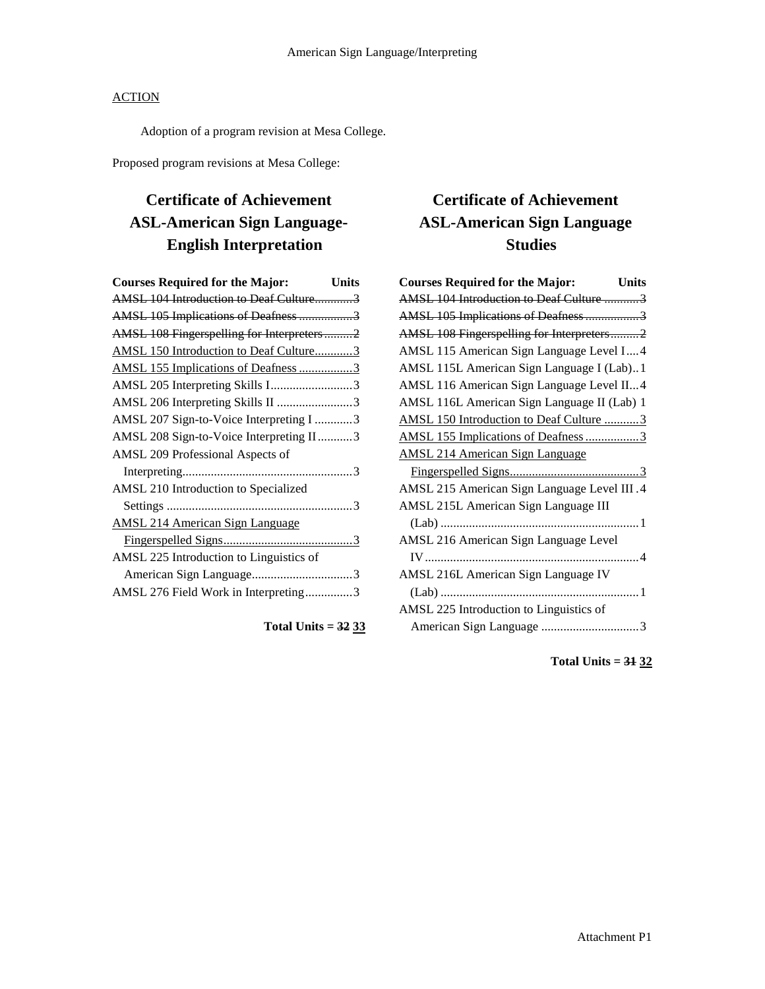Adoption of a program revision at Mesa College.

Proposed program revisions at Mesa College:

# **Certificate of Achievement ASL-American Sign Language-English Interpretation**

| <b>Courses Required for the Major:</b>    | <b>Units</b> |
|-------------------------------------------|--------------|
| AMSL 104 Introduction to Deaf Culture3    |              |
| AMSL 105 Implications of Deafness 3       |              |
| AMSL 108 Fingerspelling for Interpreters2 |              |
| AMSL 150 Introduction to Deaf Culture3    |              |
| AMSL 155 Implications of Deafness 3       |              |
| AMSL 205 Interpreting Skills I3           |              |
| AMSL 206 Interpreting Skills II 3         |              |
| AMSL 207 Sign-to-Voice Interpreting I 3   |              |
| AMSL 208 Sign-to-Voice Interpreting II3   |              |
| AMSL 209 Professional Aspects of          |              |
|                                           |              |
| AMSL 210 Introduction to Specialized      |              |
|                                           |              |
| <b>AMSL 214 American Sign Language</b>    |              |
|                                           |              |
| AMSL 225 Introduction to Linguistics of   |              |
|                                           |              |
| AMSL 276 Field Work in Interpreting3      |              |
|                                           |              |

**Total Units = 32 33**

# **Certificate of Achievement ASL-American Sign Language Studies**

| <b>Courses Required for the Major:</b><br><b>Units</b> |
|--------------------------------------------------------|
| AMSL 104 Introduction to Deaf Culture 3                |
| AMSL 105 Implications of Deafness3                     |
| AMSL 108 Fingerspelling for Interpreters2              |
| AMSL 115 American Sign Language Level I 4              |
| AMSL 115L American Sign Language I (Lab)1              |
| AMSL 116 American Sign Language Level II4              |
| AMSL 116L American Sign Language II (Lab) 1            |
| AMSL 150 Introduction to Deaf Culture 3                |
| AMSL 155 Implications of Deafness 3                    |
| <b>AMSL 214 American Sign Language</b>                 |
|                                                        |
| AMSL 215 American Sign Language Level III.4            |
| AMSL 215L American Sign Language III                   |
|                                                        |
| AMSL 216 American Sign Language Level                  |
|                                                        |
| AMSL 216L American Sign Language IV                    |
|                                                        |
| AMSL 225 Introduction to Linguistics of                |
|                                                        |

**Total Units = 31 32**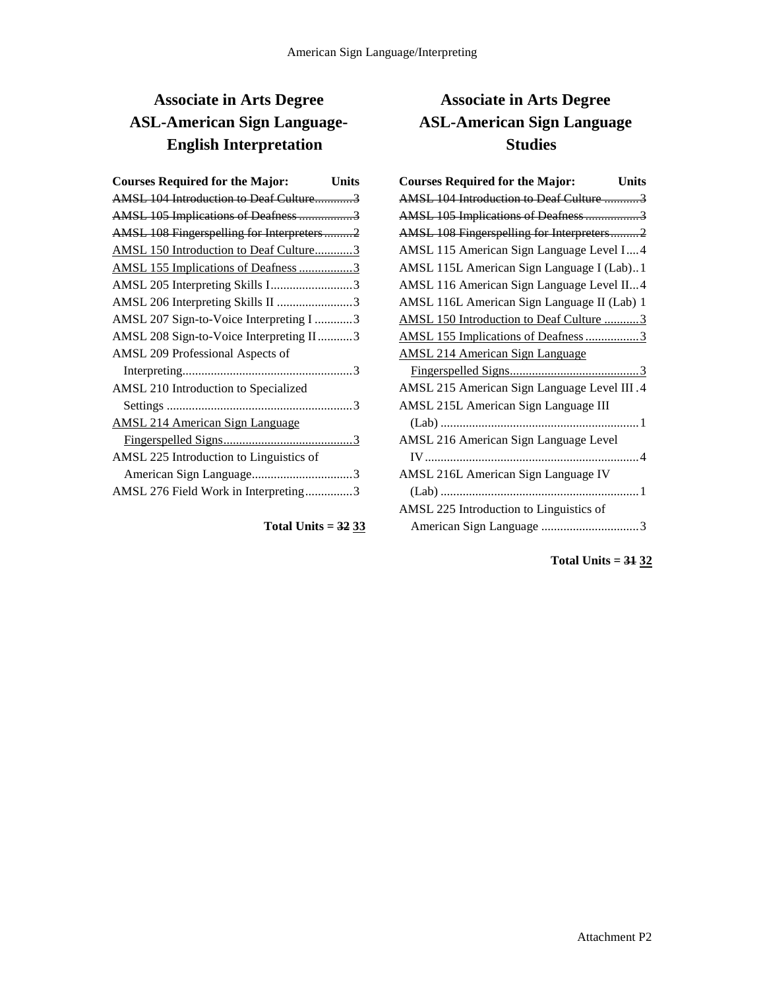# **Associate in Arts Degree ASL-American Sign Language-English Interpretation**

| <b>Courses Required for the Major:</b>    | Units |
|-------------------------------------------|-------|
| AMSL 104 Introduction to Deaf Culture3    |       |
| AMSL 105 Implications of Deafness 3       |       |
| AMSL 108 Fingerspelling for Interpreters2 |       |
| AMSL 150 Introduction to Deaf Culture3    |       |
| AMSL 155 Implications of Deafness 3       |       |
| AMSL 205 Interpreting Skills I3           |       |
| AMSL 206 Interpreting Skills II 3         |       |
| AMSL 207 Sign-to-Voice Interpreting I 3   |       |
| AMSL 208 Sign-to-Voice Interpreting II3   |       |
| AMSL 209 Professional Aspects of          |       |
|                                           |       |
| AMSL 210 Introduction to Specialized      |       |
|                                           |       |
| <b>AMSL 214 American Sign Language</b>    |       |
|                                           |       |
| AMSL 225 Introduction to Linguistics of   |       |
|                                           |       |
| AMSL 276 Field Work in Interpreting3      |       |

## **Total Units = 32 33**

# **Associate in Arts Degree ASL-American Sign Language Studies**

| <b>Courses Required for the Major:</b><br>Units |
|-------------------------------------------------|
| AMSL 104 Introduction to Deaf Culture 3         |
| AMSL 105 Implications of Deafness 3             |
| AMSL 108 Fingerspelling for Interpreters2       |
| AMSL 115 American Sign Language Level I 4       |
| AMSL 115L American Sign Language I (Lab)1       |
| AMSL 116 American Sign Language Level II4       |
| AMSL 116L American Sign Language II (Lab) 1     |
| AMSL 150 Introduction to Deaf Culture 3         |
| AMSL 155 Implications of Deafness 3             |
| <b>AMSL 214 American Sign Language</b>          |
|                                                 |
| AMSL 215 American Sign Language Level III .4    |
| AMSL 215L American Sign Language III            |
|                                                 |
| AMSL 216 American Sign Language Level           |
|                                                 |
| AMSL 216L American Sign Language IV             |
|                                                 |
| AMSL 225 Introduction to Linguistics of         |
|                                                 |

**Total Units = 31 32**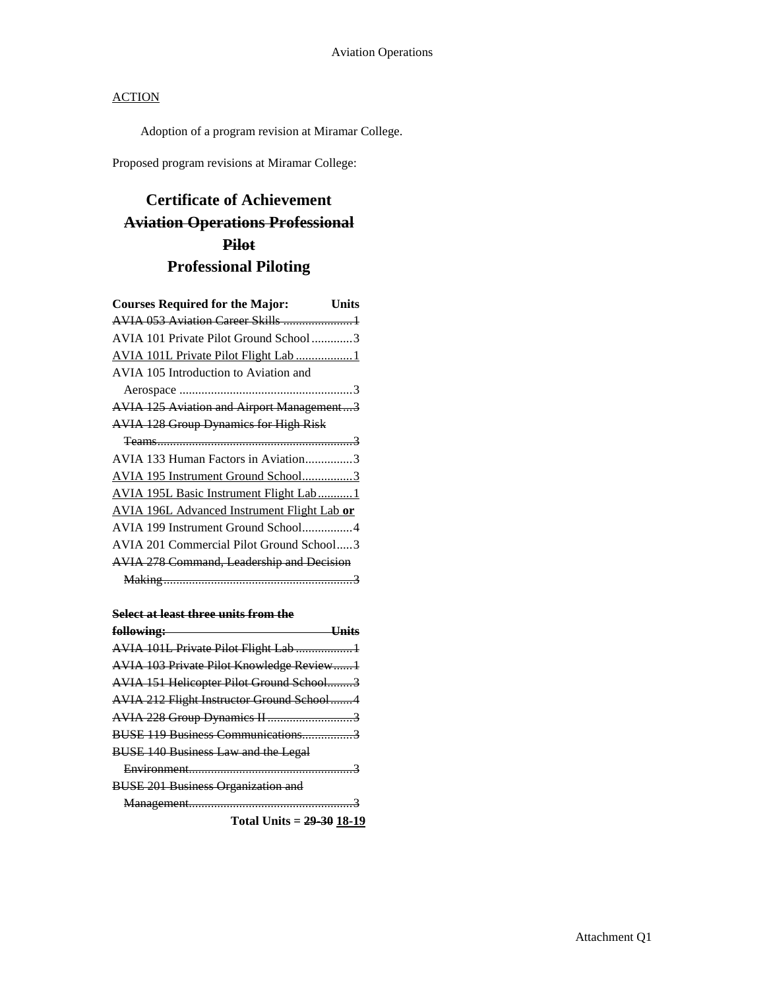Adoption of a program revision at Miramar College.

Proposed program revisions at Miramar College:

# **Certificate of Achievement Aviation Operations Professional Pilot Professional Piloting**

| <b>Courses Required for the Major:</b>             | Units |
|----------------------------------------------------|-------|
|                                                    |       |
| AVIA 101 Private Pilot Ground School3              |       |
| AVIA 101L Private Pilot Flight Lab 1               |       |
| AVIA 105 Introduction to Aviation and              |       |
|                                                    |       |
| AVIA 125 Aviation and Airport Management3          |       |
| <b>AVIA 128 Group Dynamics for High Risk</b>       |       |
|                                                    |       |
| AVIA 133 Human Factors in Aviation3                |       |
| AVIA 195 Instrument Ground School3                 |       |
| AVIA 195L Basic Instrument Flight Lab 1            |       |
| <b>AVIA 196L Advanced Instrument Flight Lab or</b> |       |
| AVIA 199 Instrument Ground School4                 |       |
| AVIA 201 Commercial Pilot Ground School3           |       |
| AVIA 278 Command, Leadership and Decision          |       |
|                                                    |       |

### **Select at least three units from the**

| following:                                       |
|--------------------------------------------------|
| AVIA 101L Private Pilot Flight Lab 1             |
| <b>AVIA 103 Private Pilot Knowledge Review1</b>  |
| AVIA 151 Helicopter Pilot Ground School3         |
| <b>AVIA 212 Flight Instructor Ground School4</b> |
| AVIA 228 Group Dynamics II 3                     |
| BUSE 119 Business Communications3                |
| <b>BUSE 140 Business Law and the Legal</b>       |
|                                                  |
| <b>BUSE 201 Business Organization and</b>        |
|                                                  |
| Total Units = $29-30$ 18-19                      |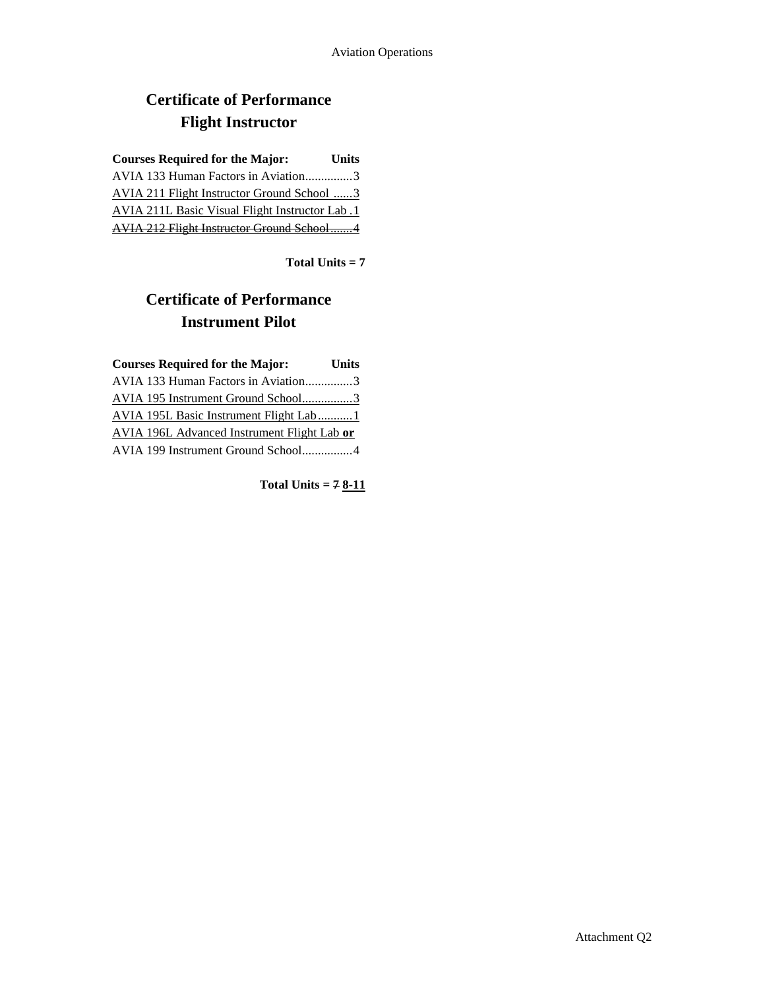# **Certificate of Performance Flight Instructor**

| <b>Courses Required for the Major:</b>                 | <b>Units</b> |
|--------------------------------------------------------|--------------|
| AVIA 133 Human Factors in Aviation3                    |              |
| AVIA 211 Flight Instructor Ground School 3             |              |
| <b>AVIA 211L Basic Visual Flight Instructor Lab. 1</b> |              |
| <b>AVIA 212 Flight Instructor Ground School4</b>       |              |

**Total Units = 7**

# **Certificate of Performance Instrument Pilot**

| <b>Courses Required for the Major:</b>      | <b>Units</b> |
|---------------------------------------------|--------------|
| AVIA 133 Human Factors in Aviation3         |              |
| AVIA 195 Instrument Ground School3          |              |
| AVIA 195L Basic Instrument Flight Lab1      |              |
| AVIA 196L Advanced Instrument Flight Lab or |              |
| AVIA 199 Instrument Ground School4          |              |

**Total Units = 7 8-11**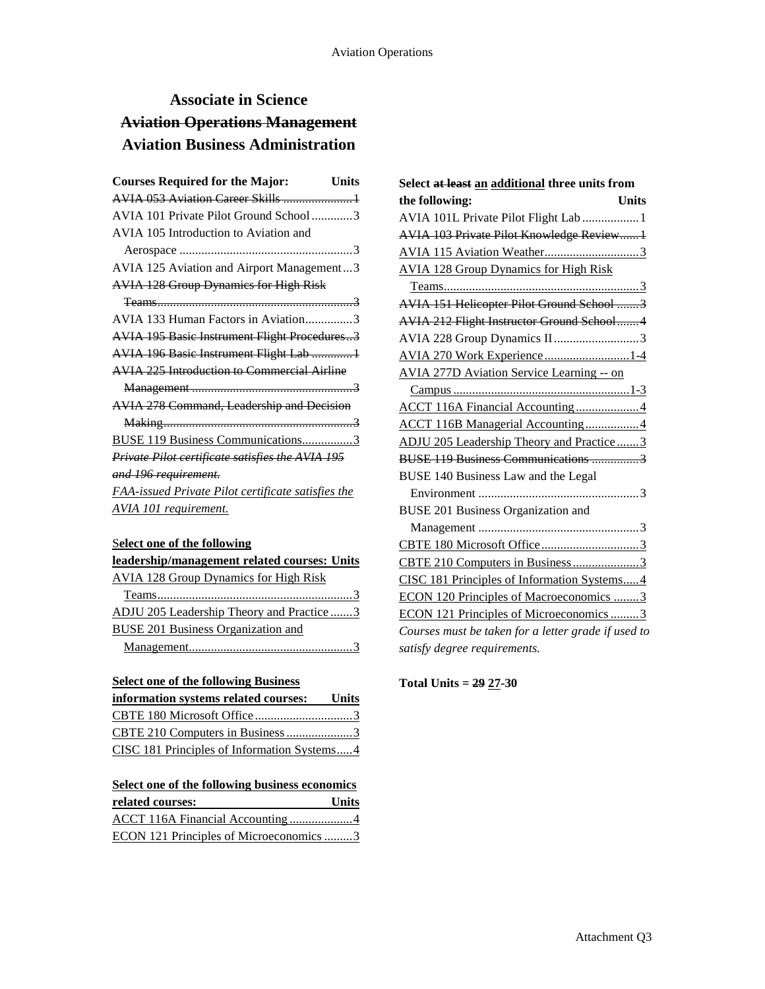# **Associate in Science Aviation Operations Management Aviation Business Administration**

| <b>Courses Required for the Major:</b>                  | Units |
|---------------------------------------------------------|-------|
|                                                         |       |
| AVIA 101 Private Pilot Ground School3                   |       |
| AVIA 105 Introduction to Aviation and                   |       |
|                                                         |       |
| AVIA 125 Aviation and Airport Management3               |       |
| <b>AVIA 128 Group Dynamics for High Risk</b>            |       |
|                                                         |       |
| AVIA 133 Human Factors in Aviation3                     |       |
| <b>AVIA 195 Basic Instrument Flight Procedures3</b>     |       |
| <b>AVIA 196 Basic Instrument Flight Lab 1</b>           |       |
| <b>AVIA 225 Introduction to Commercial Airline</b>      |       |
|                                                         |       |
| <b>AVIA 278 Command, Leadership and Decision</b>        |       |
|                                                         |       |
| BUSE 119 Business Communications3                       |       |
| <i>Private Pilot certificate satisfies the AVIA 195</i> |       |
| and 196 requirement.                                    |       |
| FAA-issued Private Pilot certificate satisfies the      |       |
| AVIA 101 requirement.                                   |       |
|                                                         |       |

## S**elect one of the following**

| leadership/management related courses: Units |
|----------------------------------------------|
| <b>AVIA 128 Group Dynamics for High Risk</b> |
|                                              |
| ADJU 205 Leadership Theory and Practice 3    |
| <b>BUSE 201 Business Organization and</b>    |
|                                              |

## **Select one of the following Business**

| information systems related courses: Units  |  |
|---------------------------------------------|--|
|                                             |  |
|                                             |  |
| CISC 181 Principles of Information Systems4 |  |

# **Select one of the following business economics related courses: Units**

|  | ECON 121 Principles of Microeconomics 3 |  |
|--|-----------------------------------------|--|

| Select at least an additional three units from      |
|-----------------------------------------------------|
| the following:<br><b>Units</b>                      |
| AVIA 101L Private Pilot Flight Lab  1               |
| AVIA 103 Private Pilot Knowledge Review1            |
|                                                     |
| <b>AVIA 128 Group Dynamics for High Risk</b>        |
|                                                     |
| AVIA 151 Helicopter Pilot Ground School 3           |
| AVIA 212 Flight Instructor Ground School4           |
| AVIA 228 Group Dynamics II3                         |
| AVIA 270 Work Experience1-4                         |
| <b>AVIA 277D Aviation Service Learning -- on</b>    |
|                                                     |
| ACCT 116A Financial Accounting4                     |
| <b>ACCT 116B Managerial Accounting4</b>             |
| ADJU 205 Leadership Theory and Practice3            |
| BUSE 119 Business Communications 3                  |
| BUSE 140 Business Law and the Legal                 |
|                                                     |
| <b>BUSE 201 Business Organization and</b>           |
|                                                     |
|                                                     |
|                                                     |
| CISC 181 Principles of Information Systems4         |
| <b>ECON 120 Principles of Macroeconomics 3</b>      |
| ECON 121 Principles of Microeconomics 3             |
| Courses must be taken for a letter grade if used to |
| satisfy degree requirements.                        |

**Total Units = 29 27-30**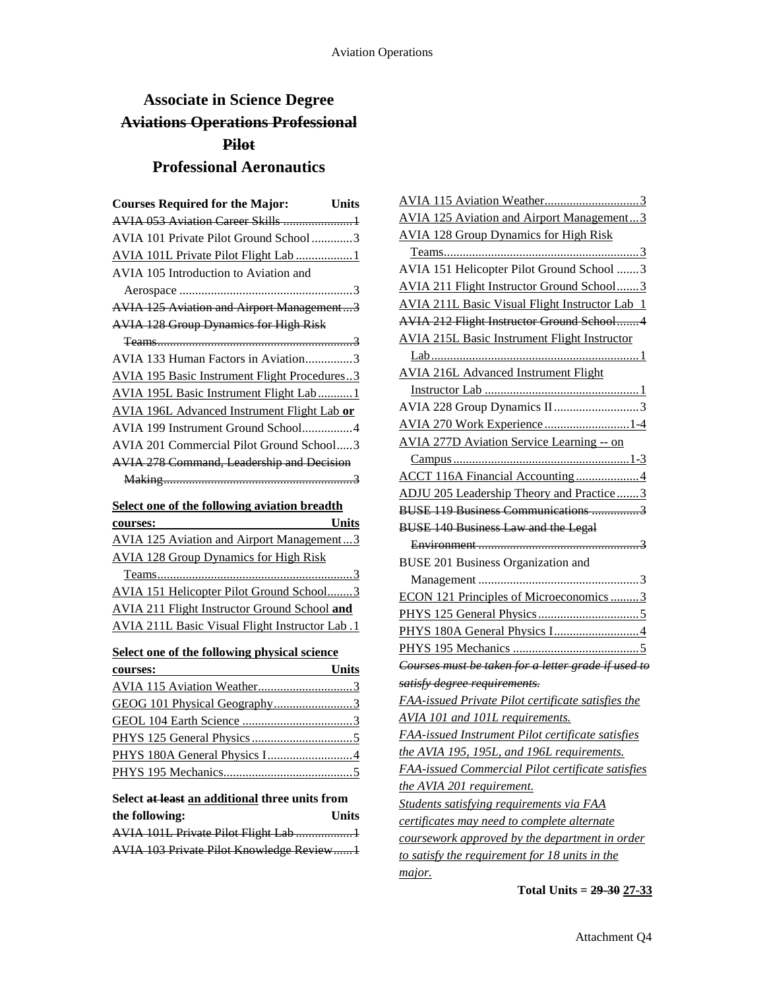# **Associate in Science Degree Aviations Operations Professional Pilot Professional Aeronautics**

| <b>Courses Required for the Major:</b>                | Units        |
|-------------------------------------------------------|--------------|
| AVIA 053 Aviation Career Skills  1                    |              |
| AVIA 101 Private Pilot Ground School3                 |              |
| AVIA 101L Private Pilot Flight Lab 1                  |              |
| AVIA 105 Introduction to Aviation and                 |              |
|                                                       |              |
| <b>AVIA 125 Aviation and Airport Management3</b>      |              |
| <b>AVIA 128 Group Dynamics for High Risk</b>          |              |
|                                                       |              |
| AVIA 133 Human Factors in Aviation3                   |              |
| <b>AVIA 195 Basic Instrument Flight Procedures3</b>   |              |
| <b>AVIA 195L Basic Instrument Flight Lab1</b>         |              |
| AVIA 196L Advanced Instrument Flight Lab or           |              |
| AVIA 199 Instrument Ground School4                    |              |
| AVIA 201 Commercial Pilot Ground School3              |              |
| <b>AVIA 278 Command, Leadership and Decision</b>      |              |
|                                                       |              |
| Select one of the following aviation breadth          |              |
| courses:                                              | Units        |
| <b>AVIA 125 Aviation and Airport Management3</b>      |              |
| <b>AVIA 128 Group Dynamics for High Risk</b>          |              |
|                                                       |              |
| AVIA 151 Helicopter Pilot Ground School3              |              |
| <b>AVIA 211 Flight Instructor Ground School and</b>   |              |
| <b>AVIA 211L Basic Visual Flight Instructor Lab.1</b> |              |
|                                                       |              |
| Select one of the following physical science          |              |
|                                                       |              |
| Units<br>courses:                                     |              |
|                                                       |              |
|                                                       |              |
|                                                       |              |
|                                                       |              |
|                                                       |              |
|                                                       |              |
| Select at least an additional three units from        |              |
| the following:                                        | <b>Units</b> |

| AVIA 101L Private Pilot Flight Lab 1     |  |
|------------------------------------------|--|
| AVIA 103 Private Pilot Knowledge Review1 |  |

| <b>AVIA 125 Aviation and Airport Management3</b>         |
|----------------------------------------------------------|
| <b>AVIA 128 Group Dynamics for High Risk</b>             |
|                                                          |
| AVIA 151 Helicopter Pilot Ground School 3                |
| <b>AVIA 211 Flight Instructor Ground School3</b>         |
| <b>AVIA 211L Basic Visual Flight Instructor Lab 1</b>    |
| AVIA 212 Flight Instructor Ground School4                |
| <b>AVIA 215L Basic Instrument Flight Instructor</b>      |
|                                                          |
| <b>AVIA 216L Advanced Instrument Flight</b>              |
|                                                          |
| AVIA 228 Group Dynamics II3                              |
| AVIA 270 Work Experience1-4                              |
| <b>AVIA 277D Aviation Service Learning -- on</b>         |
|                                                          |
| ACCT 116A Financial Accounting4                          |
| ADJU 205 Leadership Theory and Practice3                 |
| BUSE 119 Business Communications 3                       |
| <b>BUSE 140 Business Law and the Legal</b>               |
|                                                          |
| <b>BUSE 201 Business Organization and</b>                |
|                                                          |
| ECON 121 Principles of Microeconomics 3                  |
|                                                          |
|                                                          |
|                                                          |
| Courses must be taken for a letter grade if used to      |
|                                                          |
| satisfy degree requirements.                             |
| FAA-issued Private Pilot certificate satisfies the       |
| AVIA 101 and 101L requirements.                          |
| FAA-issued Instrument Pilot certificate satisfies        |
| the AVIA 195, 195L, and 196L requirements.               |
| <b>FAA-issued Commercial Pilot certificate satisfies</b> |
| <u>the AVIA 201 requirement.</u>                         |
| <b>Students satisfying requirements via FAA</b>          |
| certificates may need to complete alternate              |
| coursework approved by the department in order           |
| to satisfy the requirement for 18 units in the           |

## **Total Units = 29-30 27-33**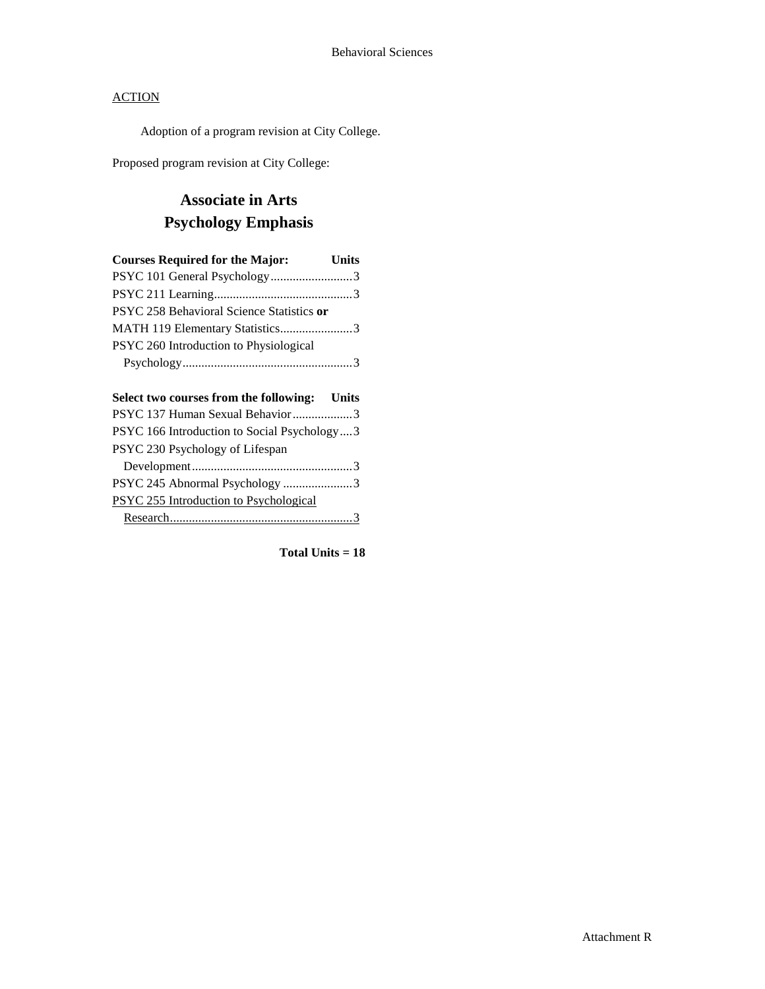Adoption of a program revision at City College.

Proposed program revision at City College:

# **Associate in Arts Psychology Emphasis**

| <b>Courses Required for the Major:</b>    | <b>Units</b> |
|-------------------------------------------|--------------|
| PSYC 101 General Psychology3              |              |
|                                           |              |
| PSYC 258 Behavioral Science Statistics or |              |
| MATH 119 Elementary Statistics3           |              |
| PSYC 260 Introduction to Physiological    |              |
|                                           |              |
|                                           |              |

| Select two courses from the following: Units |  |
|----------------------------------------------|--|
| PSYC 137 Human Sexual Behavior3              |  |
| PSYC 166 Introduction to Social Psychology3  |  |
| PSYC 230 Psychology of Lifespan              |  |
|                                              |  |
| PSYC 245 Abnormal Psychology 3               |  |
| PSYC 255 Introduction to Psychological       |  |
|                                              |  |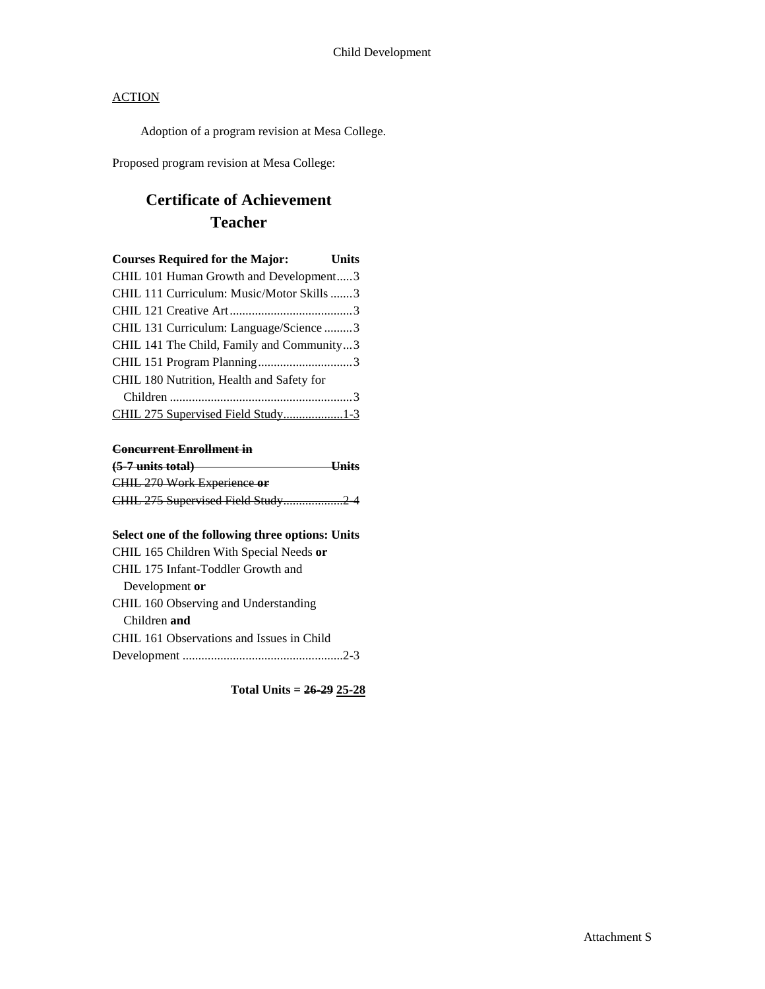Adoption of a program revision at Mesa College.

Proposed program revision at Mesa College:

# **Certificate of Achievement Teacher**

| <b>Courses Required for the Major:</b>    | <b>Units</b> |
|-------------------------------------------|--------------|
| CHIL 101 Human Growth and Development3    |              |
| CHIL 111 Curriculum: Music/Motor Skills 3 |              |
|                                           |              |
| CHIL 131 Curriculum: Language/Science 3   |              |
| CHIL 141 The Child, Family and Community3 |              |
|                                           |              |
| CHIL 180 Nutrition, Health and Safety for |              |
|                                           |              |
| CHIL 275 Supervised Field Study1-3        |              |

## **Concurrent Enrollment in**

| $(5-7$ units total)               | <b>Units</b> |
|-----------------------------------|--------------|
| CHIL 270 Work Experience or       |              |
| CHIL 275 Supervised Field Study24 |              |

### **Select one of the following three options: Units**

| CHIL 165 Children With Special Needs or   |  |
|-------------------------------------------|--|
| CHIL 175 Infant-Toddler Growth and        |  |
| Development or                            |  |
| CHIL 160 Observing and Understanding      |  |
| Children and                              |  |
| CHIL 161 Observations and Issues in Child |  |
|                                           |  |

**Total Units = 26-29 25-28**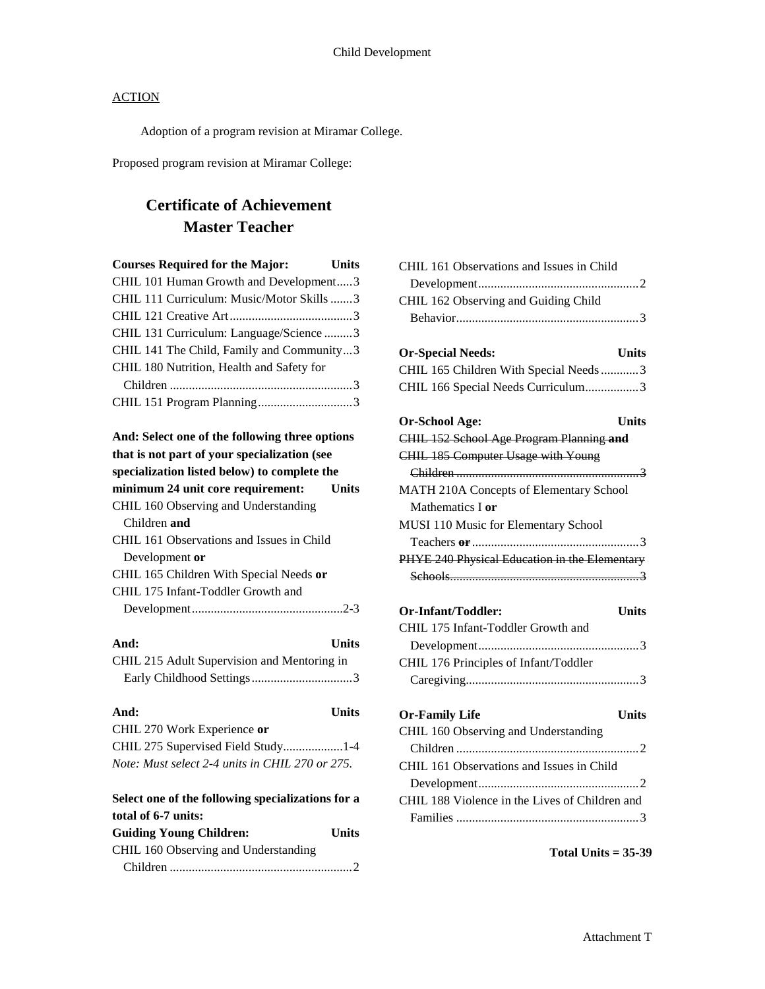Adoption of a program revision at Miramar College.

Proposed program revision at Miramar College:

# **Certificate of Achievement Master Teacher**

| <b>Courses Required for the Major:</b>         | <b>Units</b> |
|------------------------------------------------|--------------|
| CHIL 101 Human Growth and Development3         |              |
| CHIL 111 Curriculum: Music/Motor Skills3       |              |
|                                                |              |
| CHIL 131 Curriculum: Language/Science 3        |              |
| CHIL 141 The Child, Family and Community3      |              |
| CHIL 180 Nutrition, Health and Safety for      |              |
|                                                |              |
|                                                |              |
| And: Select one of the following three options |              |

| And, befeel one of the following three options    |
|---------------------------------------------------|
| that is not part of your specialization (see      |
| specialization listed below) to complete the      |
| minimum 24 unit core requirement:<br><b>Units</b> |
| CHIL 160 Observing and Understanding              |
| Children and                                      |
| CHIL 161 Observations and Issues in Child         |
| Development or                                    |
| CHIL 165 Children With Special Needs or           |
| CHIL 175 Infant-Toddler Growth and                |
|                                                   |

| And:<br>Units                                     |
|---------------------------------------------------|
| CHIL 215 Adult Supervision and Mentoring in       |
|                                                   |
| And:<br>Units                                     |
| CHIL 270 Work Experience or                       |
|                                                   |
| Note: Must select 2-4 units in CHIL 270 or 275.   |
| Select one of the following specializations for a |
| total of 6-7 units:                               |
| <b>Guiding Young Children:</b><br>Units           |

| CHIL 160 Observing and Understanding |  |
|--------------------------------------|--|
|                                      |  |

| CHIL 161 Observations and Issues in Child      |
|------------------------------------------------|
|                                                |
| CHIL 162 Observing and Guiding Child           |
|                                                |
|                                                |
| <b>Or-Special Needs:</b><br>Units              |
| CHIL 165 Children With Special Needs 3         |
| CHIL 166 Special Needs Curriculum3             |
|                                                |
| Or-School Age:<br>Units                        |
| CHIL 152 School Age Program Planning and       |
| <b>CHIL 185 Computer Usage with Young</b>      |
|                                                |
| MATH 210A Concepts of Elementary School        |
| Mathematics I or                               |
| MUSI 110 Music for Elementary School           |
|                                                |
| PHYE 240 Physical Education in the Elementary  |
|                                                |
|                                                |
| Or-Infant/Toddler:<br><b>Units</b>             |
| CHIL 175 Infant-Toddler Growth and             |
|                                                |
| CHIL 176 Principles of Infant/Toddler          |
|                                                |
|                                                |
| <b>Units</b><br><b>Or-Family Life</b>          |
| CHIL 160 Observing and Understanding           |
|                                                |
| CHIL 161 Observations and Issues in Child      |
|                                                |
| CHIL 188 Violence in the Lives of Children and |
|                                                |
|                                                |

### **Total Units = 35-39**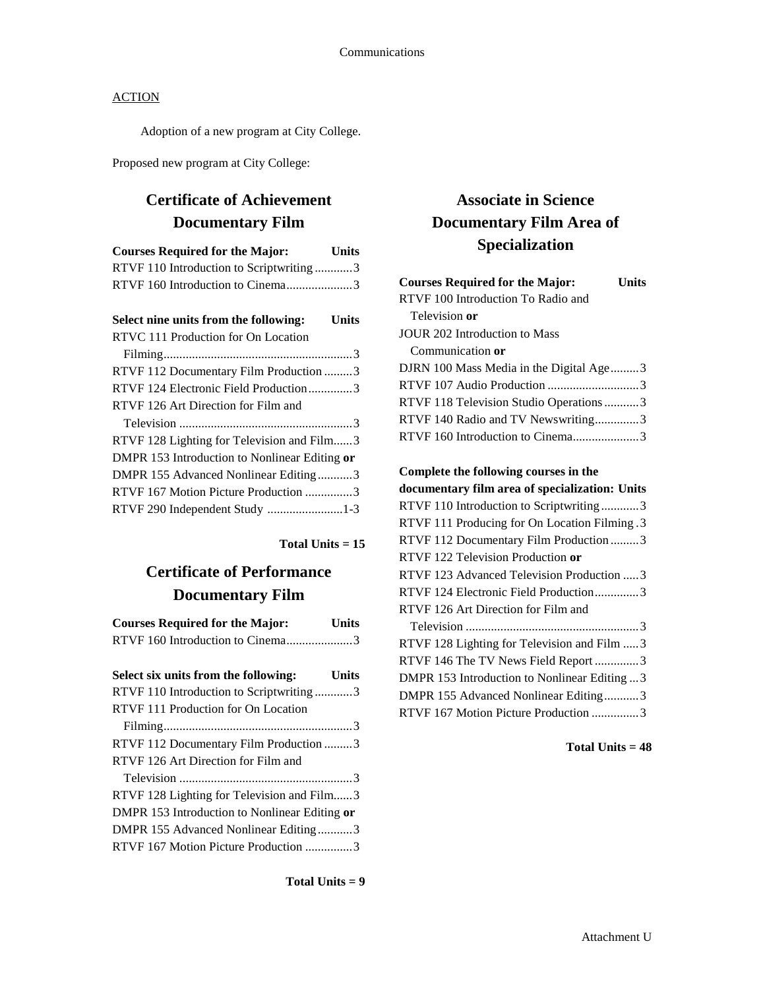Adoption of a new program at City College.

Proposed new program at City College:

## **Certificate of Achievement Documentary Film**

| <b>Courses Required for the Major:</b>        | <b>Units</b> |
|-----------------------------------------------|--------------|
| RTVF 110 Introduction to Scriptwriting3       |              |
| RTVF 160 Introduction to Cinema3              |              |
| Select nine units from the following:         | <b>Units</b> |
| RTVC 111 Production for On Location           |              |
|                                               |              |
| RTVF 112 Documentary Film Production 3        |              |
| RTVF 124 Electronic Field Production3         |              |
| RTVF 126 Art Direction for Film and           |              |
|                                               |              |
| RTVF 128 Lighting for Television and Film3    |              |
| DMPR 153 Introduction to Nonlinear Editing or |              |
| DMPR 155 Advanced Nonlinear Editing3          |              |
| RTVF 167 Motion Picture Production 3          |              |
| RTVF 290 Independent Study 1-3                |              |
|                                               |              |

**Total Units = 15**

## **Certificate of Performance Documentary Film**

| <b>Courses Required for the Major:</b> | <b>Units</b> |
|----------------------------------------|--------------|
| RTVF 160 Introduction to Cinema3       |              |

| Select six units from the following:<br><b>Units</b> |
|------------------------------------------------------|
| RTVF 110 Introduction to Scriptwriting3              |
| RTVF 111 Production for On Location                  |
|                                                      |
| RTVF 112 Documentary Film Production 3               |
| RTVF 126 Art Direction for Film and                  |
|                                                      |
| RTVF 128 Lighting for Television and Film3           |
| DMPR 153 Introduction to Nonlinear Editing or        |
| DMPR 155 Advanced Nonlinear Editing3                 |
| RTVF 167 Motion Picture Production 3                 |
|                                                      |

### **Total Units = 9**

# **Associate in Science Documentary Film Area of Specialization**

| <b>Courses Required for the Major:</b>  | Units |
|-----------------------------------------|-------|
| RTVF 100 Introduction To Radio and      |       |
| Television or                           |       |
| <b>JOUR 202 Introduction to Mass</b>    |       |
| Communication or                        |       |
| DJRN 100 Mass Media in the Digital Age3 |       |
|                                         |       |
| RTVF 118 Television Studio Operations 3 |       |
| RTVF 140 Radio and TV Newswriting3      |       |
| RTVF 160 Introduction to Cinema3        |       |
|                                         |       |

### **Complete the following courses in the**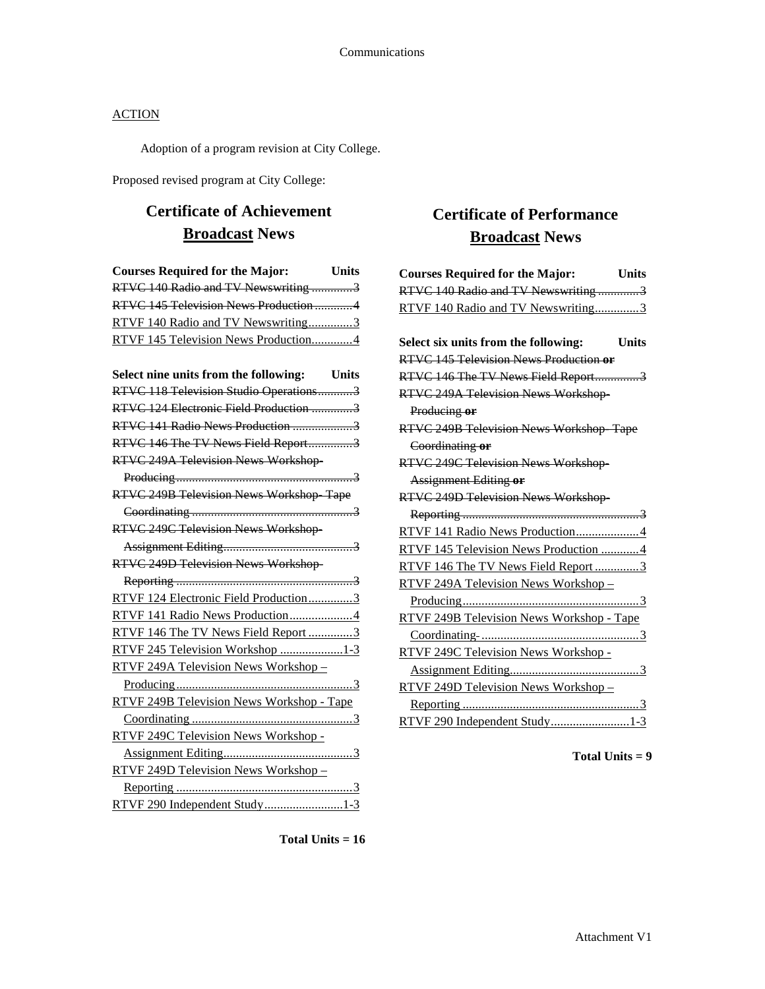Adoption of a program revision at City College.

Proposed revised program at City College:

# **Certificate of Achievement Broadcast News**

| <b>Courses Required for the Major:</b><br><b>Units</b> |
|--------------------------------------------------------|
| RTVC 140 Radio and TV Newswriting 3                    |
| RTVC 145 Television News Production4                   |
| RTVF 140 Radio and TV Newswriting3                     |
| RTVF 145 Television News Production4                   |
|                                                        |
| Select nine units from the following: Units            |
| RTVC 118 Television Studio Operations3                 |
| RTVC 124 Electronic Field Production 3                 |
| RTVC 141 Radio News Production 3                       |
| RTVC 146 The TV News Field Report3                     |
| RTVC 249A Television News Workshop-                    |
|                                                        |
| RTVC 249B Television News Workshop Tape                |
|                                                        |
| RTVC 249C Television News Workshop-                    |
|                                                        |
| RTVC 249D Television News Workshop-                    |
|                                                        |
| RTVF 124 Electronic Field Production3                  |
| RTVF 141 Radio News Production4                        |
| RTVF 146 The TV News Field Report 3                    |
| RTVF 245 Television Workshop 1-3                       |
| RTVF 249A Television News Workshop -                   |
|                                                        |
| RTVF 249B Television News Workshop - Tape              |
|                                                        |
| RTVF 249C Television News Workshop -                   |
|                                                        |
| RTVF 249D Television News Workshop -                   |
|                                                        |
| RTVF 290 Independent Study1-3                          |

# **Certificate of Performance Broadcast News**

| <b>Courses Required for the Major:</b>           | <b>Units</b> |
|--------------------------------------------------|--------------|
| RTVC 140 Radio and TV Newswriting 3              |              |
| RTVF 140 Radio and TV Newswriting3               |              |
|                                                  |              |
| Select six units from the following:             | <b>Units</b> |
| RTVC 145 Television News Production or           |              |
| RTVC 146 The TV News Field Report3               |              |
| RTVC 249A Television News Workshop-              |              |
| Producing or                                     |              |
| RTVC 249B Television News Workshop Tape          |              |
| Coordinating or                                  |              |
| <b>RTVC 249C Television News Workshop</b>        |              |
| <b>Assignment Editing or</b>                     |              |
| <b>RTVC 249D Television News Workshop-</b>       |              |
|                                                  |              |
| RTVF 141 Radio News Production4                  |              |
| RTVF 145 Television News Production 4            |              |
| RTVF 146 The TV News Field Report 3              |              |
| RTVF 249A Television News Workshop-              |              |
|                                                  |              |
| <b>RTVF 249B Television News Workshop - Tape</b> |              |
|                                                  |              |
| RTVF 249C Television News Workshop -             |              |
|                                                  |              |
| RTVF 249D Television News Workshop-              |              |
|                                                  |              |
| RTVF 290 Independent Study1-3                    |              |

**Total Units = 16**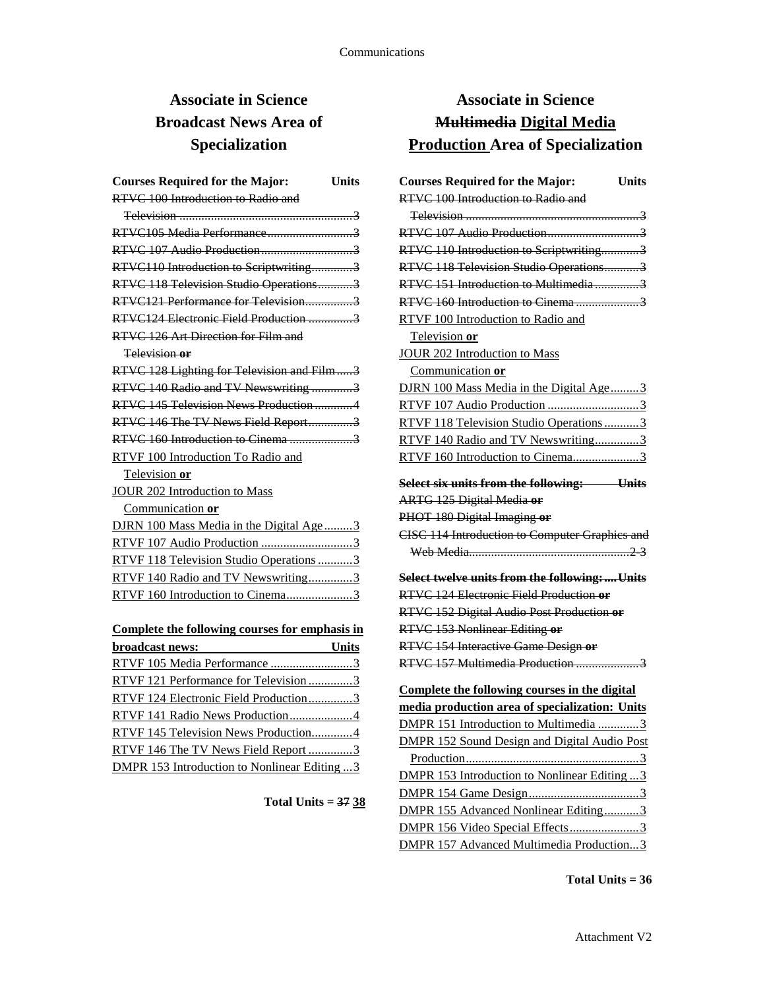# **Associate in Science Broadcast News Area of Specialization**

| <b>Courses Required for the Major:</b><br>Units |
|-------------------------------------------------|
| RTVC 100 Introduction to Radio and              |
|                                                 |
|                                                 |
|                                                 |
| RTVC110 Introduction to Scriptwriting3          |
| RTVC 118 Television Studio Operations3          |
| RTVC121 Performance for Television3             |
| RTVC124 Electronic Field Production 3           |
| RTVC 126 Art Direction for Film and             |
| Television or                                   |
| RTVC 128 Lighting for Television and Film3      |
| RTVC 140 Radio and TV Newswriting 3             |
| RTVC 145 Television News Production 4           |
| RTVC 146 The TV News Field Report3              |
|                                                 |
| RTVF 100 Introduction To Radio and              |
| Television or                                   |
| <b>JOUR 202 Introduction to Mass</b>            |
| Communication or                                |
| DJRN 100 Mass Media in the Digital Age3         |
| RTVF 107 Audio Production 3                     |
| RTVF 118 Television Studio Operations 3         |
| RTVF 140 Radio and TV Newswriting3              |
| RTVF 160 Introduction to Cinema3                |
|                                                 |

| Complete the following courses for emphasis in      |       |
|-----------------------------------------------------|-------|
| broadcast news:                                     | Units |
| RTVF 105 Media Performance 3                        |       |
| RTVF 121 Performance for Television 3               |       |
| RTVF 124 Electronic Field Production3               |       |
| RTVF 141 Radio News Production4                     |       |
| RTVF 145 Television News Production4                |       |
| RTVF 146 The TV News Field Report 3                 |       |
| <b>DMPR 153 Introduction to Nonlinear Editing 3</b> |       |

**Total Units = 37 38**

# **Associate in Science Multimedia Digital Media Production Area of Specialization**

| <b>Courses Required for the Major:</b>                | <b>Units</b> |
|-------------------------------------------------------|--------------|
| RTVC 100 Introduction to Radio and                    |              |
|                                                       |              |
|                                                       |              |
| RTVC 110 Introduction to Scriptwriting3               |              |
| RTVC 118 Television Studio Operations3                |              |
| RTVC 151 Introduction to Multimedia3                  |              |
| RTVC 160 Introduction to Cinema 3                     |              |
| RTVF 100 Introduction to Radio and                    |              |
| Television or                                         |              |
| JOUR 202 Introduction to Mass                         |              |
| Communication or                                      |              |
| DJRN 100 Mass Media in the Digital Age3               |              |
| RTVF 107 Audio Production 3                           |              |
| RTVF 118 Television Studio Operations3                |              |
| RTVF 140 Radio and TV Newswriting3                    |              |
| RTVF 160 Introduction to Cinema3                      |              |
| Select six units from the following: Units            |              |
| <b>ARTG 125 Digital Media or</b>                      |              |
| PHOT 180 Digital Imaging or                           |              |
| <b>CISC 114 Introduction to Computer Graphics and</b> |              |
|                                                       |              |
| Select twelve units from the following:Units          |              |
| RTVC 124 Electronic Field Production or               |              |
| RTVC 152 Digital Audio Post Production or             |              |
| RTVC 153 Nonlinear Editing or                         |              |
| RTVC 154 Interactive Game Design or                   |              |
| RTVC 157 Multimedia Production 3                      |              |
| Complete the following courses in the digital         |              |
| media production area of specialization: Units        |              |
| DMPR 151 Introduction to Multimedia 3                 |              |
| <b>DMPR 152 Sound Design and Digital Audio Post</b>   |              |
| Production                                            |              |
| <b>DMPR 153 Introduction to Nonlinear Editing3</b>    |              |
|                                                       |              |
| DMPR 155 Advanced Nonlinear Editing3                  |              |
| DMPR 156 Video Special Effects3                       |              |
| DMPR 157 Advanced Multimedia Production3              |              |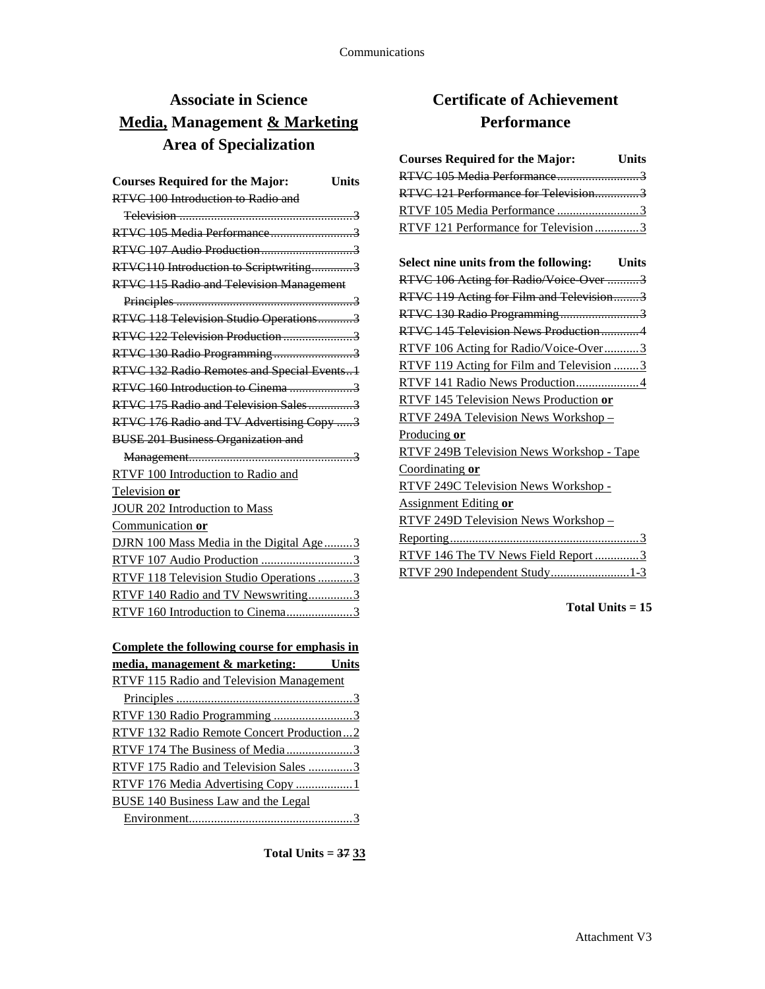# **Associate in Science Media, Management & Marketing Area of Specialization**

| <b>Courses Required for the Major:</b><br>Units |
|-------------------------------------------------|
| RTVC 100 Introduction to Radio and              |
|                                                 |
|                                                 |
|                                                 |
| RTVC110 Introduction to Scriptwriting3          |
| <b>RTVC 115 Radio and Television Management</b> |
|                                                 |
| RTVC 118 Television Studio Operations3          |
| RTVC 122 Television Production 3                |
| RTVC 130 Radio Programming3                     |
| RTVC 132 Radio Remotes and Special Events1      |
|                                                 |
| RTVC 175 Radio and Television Sales3            |
| RTVC 176 Radio and TV Advertising Copy 3        |
| <b>BUSE 201 Business Organization and</b>       |
|                                                 |
| RTVF 100 Introduction to Radio and              |
| Television or                                   |
| <b>JOUR 202 Introduction to Mass</b>            |
| Communication or                                |
| DJRN 100 Mass Media in the Digital Age3         |
| RTVF 107 Audio Production 3                     |
| RTVF 118 Television Studio Operations3          |
| RTVF 140 Radio and TV Newswriting3              |
| RTVF 160 Introduction to Cinema3                |
|                                                 |

| Complete the following course for emphasis in   |  |
|-------------------------------------------------|--|
| media, management & marketing: Units            |  |
| <b>RTVF 115 Radio and Television Management</b> |  |
|                                                 |  |
|                                                 |  |
| RTVF 132 Radio Remote Concert Production2       |  |
| RTVF 174 The Business of Media3                 |  |
| RTVF 175 Radio and Television Sales 3           |  |
| RTVF 176 Media Advertising Copy 1               |  |
| BUSE 140 Business Law and the Legal             |  |
|                                                 |  |

**Total Units = 37 33**

# **Certificate of Achievement Performance**

| <b>Courses Required for the Major:</b><br><b>Units</b> |
|--------------------------------------------------------|
| RTVC 105 Media Performance3                            |
| RTVC 121 Performance for Television3                   |
| RTVF 105 Media Performance 3                           |
| RTVF 121 Performance for Television3                   |
| Select nine units from the following: Units            |
| RTVC 106 Acting for Radio/Voice Over 3                 |
| RTVC 119 Acting for Film and Television3               |
| RTVC 130 Radio Programming3                            |
| RTVC 145 Television News Production4                   |
| RTVF 106 Acting for Radio/Voice-Over3                  |
| RTVF 119 Acting for Film and Television 3              |
| RTVF 141 Radio News Production4                        |
| RTVF 145 Television News Production or                 |
| RTVF 249A Television News Workshop-                    |
| <u>Producing or</u>                                    |
| RTVF 249B Television News Workshop - Tape              |
| Coordinating or                                        |
| RTVF 249C Television News Workshop -                   |
| <b>Assignment Editing or</b>                           |
| RTVF 249D Television News Workshop-                    |
|                                                        |
| RTVF 146 The TV News Field Report 3                    |
| RTVF 290 Independent Study1-3                          |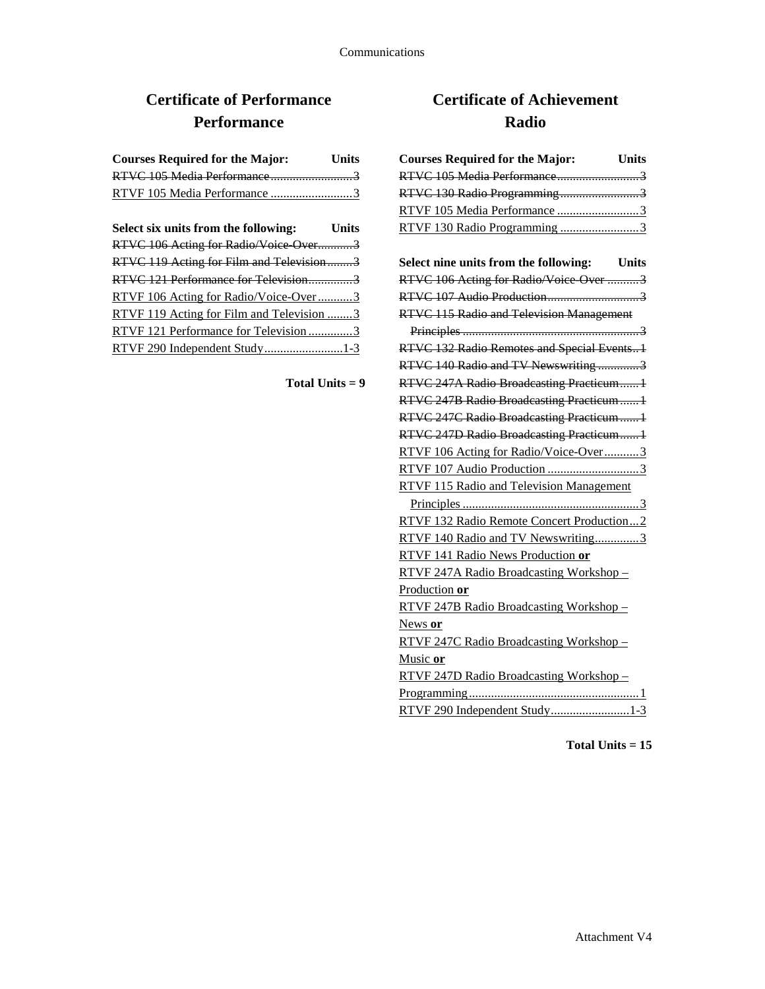# **Certificate of Performance Performance**

| <b>Courses Required for the Major:</b> | <b>Units</b> |
|----------------------------------------|--------------|
|                                        |              |
| RTVF 105 Media Performance 3           |              |

| Select six units from the following:      | <b>Units</b> |
|-------------------------------------------|--------------|
| RTVC 106 Acting for Radio/Voice Over3     |              |
| RTVC 119 Acting for Film and Television3  |              |
| RTVC 121 Performance for Television3      |              |
| RTVF 106 Acting for Radio/Voice-Over3     |              |
| RTVF 119 Acting for Film and Television 3 |              |
| RTVF 121 Performance for Television 3     |              |
| RTVF 290 Independent Study1-3             |              |

**Total Units = 9**

# **Certificate of Achievement Radio**

| <b>Courses Required for the Major:</b> Units    |
|-------------------------------------------------|
| RTVC 105 Media Performance3                     |
| RTVC 130 Radio Programming3                     |
| RTVF 105 Media Performance 3                    |
| RTVF 130 Radio Programming 3                    |
|                                                 |
| Select nine units from the following: Units     |
| RTVC 106 Acting for Radio/Voice Over 3          |
|                                                 |
| <b>RTVC 115 Radio and Television Management</b> |
|                                                 |
| RTVC 132 Radio Remotes and Special Events1      |
| RTVC 140 Radio and TV Newswriting 3             |
| RTVC 247A Radio Broadcasting Practicum1         |
| RTVC 247B Radio Broadcasting Practicum  1       |
| RTVC 247C Radio Broadcasting Practicum  1       |
| RTVC 247D Radio Broadcasting Practicum1         |
| RTVF 106 Acting for Radio/Voice-Over3           |
|                                                 |
| RTVF 115 Radio and Television Management        |
|                                                 |
| RTVF 132 Radio Remote Concert Production2       |
| RTVF 140 Radio and TV Newswriting3              |
| RTVF 141 Radio News Production or               |
| RTVF 247A Radio Broadcasting Workshop-          |
| Production or                                   |
| RTVF 247B Radio Broadcasting Workshop -         |
| News or                                         |
| RTVF 247C Radio Broadcasting Workshop-          |
| Music or                                        |
| RTVF 247D Radio Broadcasting Workshop-          |
|                                                 |
| RTVF 290 Independent Study1-3                   |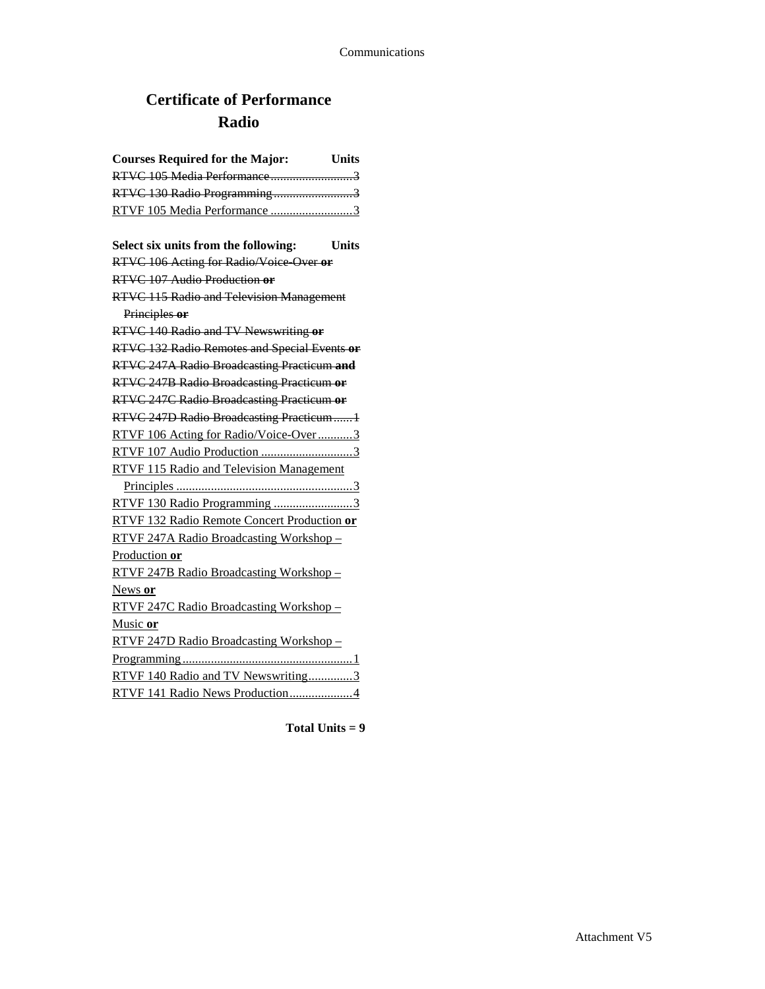# **Certificate of Performance Radio**

| <b>Courses Required for the Major:</b><br>Units  |
|--------------------------------------------------|
| RTVC 105 Media Performance3                      |
| RTVC 130 Radio Programming3                      |
| RTVF 105 Media Performance 3                     |
|                                                  |
| Select six units from the following:<br>Units    |
| RTVC 106 Acting for Radio/Voice Over or          |
| RTVC 107 Audio Production or                     |
| <b>RTVC 115 Radio and Television Management</b>  |
| Principles or                                    |
| RTVC 140 Radio and TV Newswriting or             |
| RTVC 132 Radio Remotes and Special Events or     |
| RTVC 247A Radio Broadcasting Practicum and       |
| RTVC 247B Radio Broadcasting Practicum or        |
| <b>RTVC 247C Radio Broadcasting Practicum or</b> |
| RTVC 247D Radio Broadcasting Practicum1          |
| RTVF 106 Acting for Radio/Voice-Over3            |
| RTVF 107 Audio Production 3                      |
| RTVF 115 Radio and Television Management         |
|                                                  |
| RTVF 130 Radio Programming 3                     |
| RTVF 132 Radio Remote Concert Production or      |
| RTVF 247A Radio Broadcasting Workshop-           |
| Production or                                    |
| RTVF 247B Radio Broadcasting Workshop-           |
| News or                                          |
| RTVF 247C Radio Broadcasting Workshop -          |
| Music or                                         |
| RTVF 247D Radio Broadcasting Workshop-           |
|                                                  |
| RTVF 140 Radio and TV Newswriting3               |
| RTVF 141 Radio News Production4                  |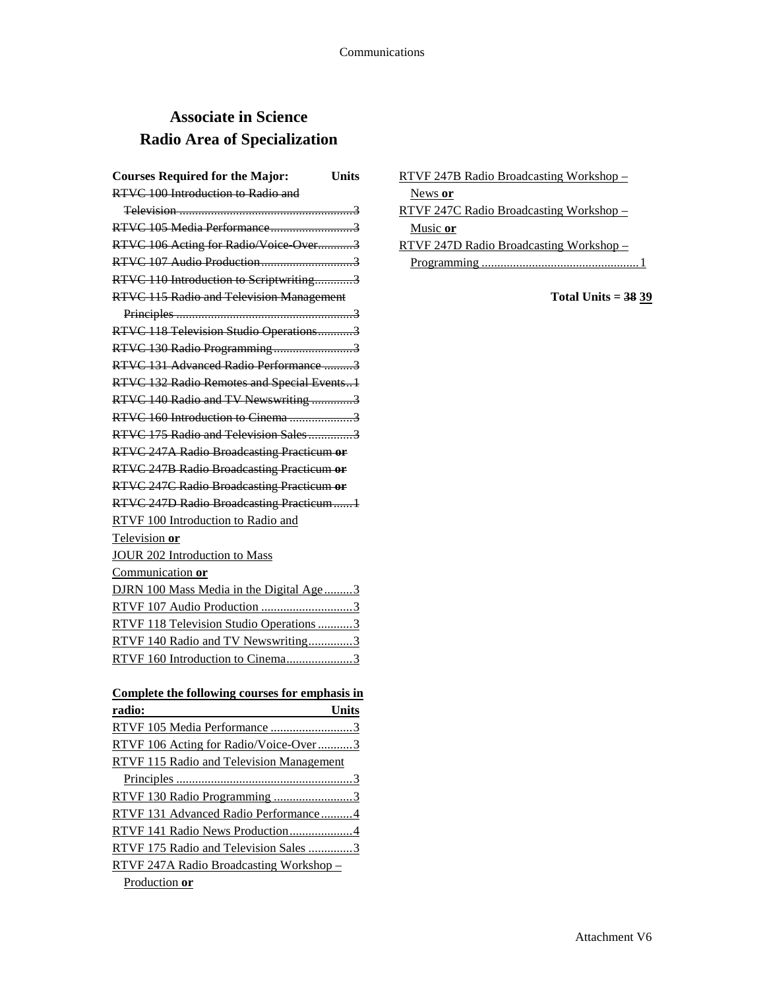# **Associate in Science Radio Area of Specialization**

| <b>Courses Required for the Major:</b><br>Units |
|-------------------------------------------------|
| RTVC 100 Introduction to Radio and              |
|                                                 |
| RTVC 105 Media Performance3                     |
| RTVC 106 Acting for Radio/Voice Over3           |
| RTVC 107 Audio Production3                      |
| RTVC 110 Introduction to Scriptwriting3         |
| RTVC 115 Radio and Television Management        |
|                                                 |
| RTVC 118 Television Studio Operations3          |
| RTVC 130 Radio Programming3                     |
| RTVC 131 Advanced Radio Performance 3           |
| RTVC 132 Radio Remotes and Special Events1      |
| RTVC 140 Radio and TV Newswriting 3             |
| RTVC 160 Introduction to Cinema 3               |
| RTVC 175 Radio and Television Sales3            |
| RTVC 247A Radio Broadcasting Practicum or       |
| RTVC 247B Radio Broadcasting Practicum or       |
| RTVC 247C Radio Broadcasting Practicum or       |
| RTVC 247D Radio Broadcasting Practicum1         |
| RTVF 100 Introduction to Radio and              |
| Television or                                   |
| <b>JOUR 202 Introduction to Mass</b>            |
| Communication or                                |
| DJRN 100 Mass Media in the Digital Age3         |
| RTVF 107 Audio Production 3                     |
| RTVF 118 Television Studio Operations 3         |
| RTVF 140 Radio and TV Newswriting3              |
| RTVF 160 Introduction to Cinema3                |
|                                                 |
| Complete the following courses for emphasis in  |
| radio:<br><b>Units</b>                          |
| RTVF 105 Media Performance 3                    |
| D T V T T 106 A                                 |

| radio:<br>Units                          |  |
|------------------------------------------|--|
| RTVF 105 Media Performance 3             |  |
| RTVF 106 Acting for Radio/Voice-Over3    |  |
| RTVF 115 Radio and Television Management |  |
|                                          |  |
| RTVF 130 Radio Programming 3             |  |
| RTVF 131 Advanced Radio Performance4     |  |
| RTVF 141 Radio News Production4          |  |
| RTVF 175 Radio and Television Sales 3    |  |
| RTVF 247A Radio Broadcasting Workshop-   |  |
| Production or                            |  |

| RTVF 247B Radio Broadcasting Workshop - |
|-----------------------------------------|
| News or                                 |
| RTVF 247C Radio Broadcasting Workshop - |
| Music or                                |
| RTVF 247D Radio Broadcasting Workshop – |
| Programming                             |

**Total Units = 38 39**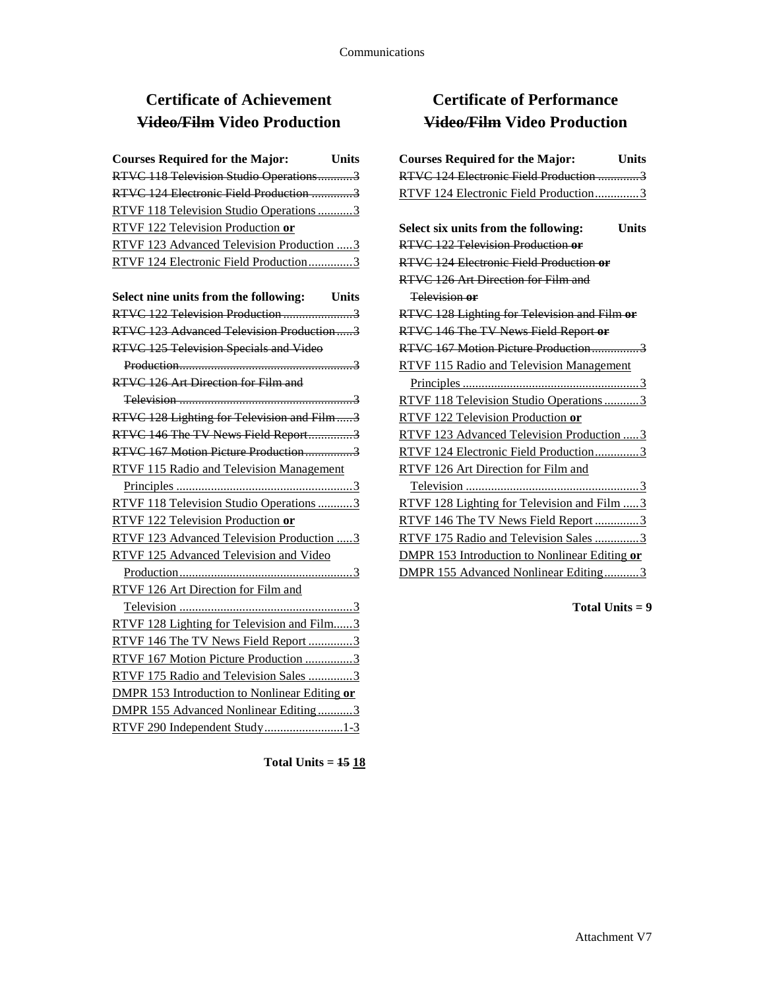# **Certificate of Achievement Video/Film Video Production**

| <b>Courses Required for the Major:</b><br><b>Units</b> |
|--------------------------------------------------------|
| RTVC 118 Television Studio Operations3                 |
| RTVC 124 Electronic Field Production 3                 |
| RTVF 118 Television Studio Operations 3                |
| RTVF 122 Television Production or                      |
| RTVF 123 Advanced Television Production  3             |
| RTVF 124 Electronic Field Production3                  |
| Select nine units from the following: Units            |
| RTVC 122 Television Production 3                       |
| RTVC 123 Advanced Television Production3               |
| RTVC 125 Television Specials and Video                 |
|                                                        |
| RTVC 126 Art Direction for Film and                    |
|                                                        |
| RTVC 128 Lighting for Television and Film3             |
| RTVC 146 The TV News Field Report3                     |
| RTVC 167 Motion Picture Production3                    |
| RTVF 115 Radio and Television Management               |
|                                                        |
| RTVF 118 Television Studio Operations 3                |
| RTVF 122 Television Production or                      |
| RTVF 123 Advanced Television Production  3             |
| RTVF 125 Advanced Television and Video                 |
|                                                        |
| RTVF 126 Art Direction for Film and                    |
|                                                        |
| RTVF 128 Lighting for Television and Film3             |
| RTVF 146 The TV News Field Report 3                    |
| RTVF 167 Motion Picture Production 3                   |
| RTVF 175 Radio and Television Sales 3                  |
| <b>DMPR 153 Introduction to Nonlinear Editing or</b>   |
| DMPR 155 Advanced Nonlinear Editing3                   |
| RTVF 290 Independent Study1-3                          |

**Total Units = 15 18**

# **Certificate of Performance Video/Film Video Production**

| <b>Courses Required for the Major:</b><br><b>Units</b> |
|--------------------------------------------------------|
| RTVC 124 Electronic Field Production 3                 |
| RTVF 124 Electronic Field Production3                  |
|                                                        |
| Select six units from the following:<br><b>Units</b>   |
| RTVC 122 Television Production or                      |
| RTVC 124 Electronic Field Production or                |
| RTVC 126 Art Direction for Film and                    |
| Television or                                          |
| RTVC 128 Lighting for Television and Film or           |
| RTVC 146 The TV News Field Report or                   |
| RTVC 167 Motion Picture Production3                    |
| RTVF 115 Radio and Television Management               |
|                                                        |
| RTVF 118 Television Studio Operations3                 |
| RTVF 122 Television Production or                      |
| RTVF 123 Advanced Television Production  3             |
| RTVF 124 Electronic Field Production3                  |
| RTVF 126 Art Direction for Film and                    |
|                                                        |
| RTVF 128 Lighting for Television and Film  3           |
| RTVF 146 The TV News Field Report 3                    |
| RTVF 175 Radio and Television Sales 3                  |
| DMPR 153 Introduction to Nonlinear Editing or          |
| DMPR 155 Advanced Nonlinear Editing3                   |
|                                                        |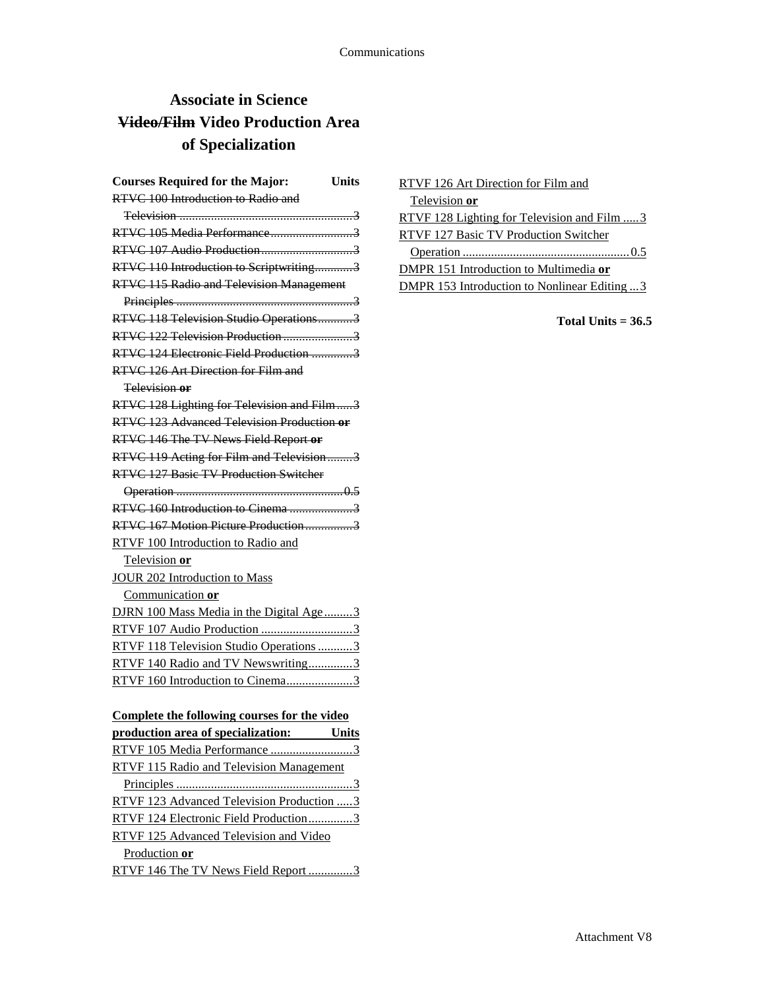# **Associate in Science Video/Film Video Production Area of Specialization**

| <b>Courses Required for the Major:</b>            | <b>Units</b> |
|---------------------------------------------------|--------------|
| RTVC 100 Introduction to Radio and                |              |
|                                                   |              |
|                                                   |              |
|                                                   |              |
| RTVC 110 Introduction to Scriptwriting3           |              |
| <b>RTVC 115 Radio and Television Management</b>   |              |
|                                                   |              |
| RTVC 118 Television Studio Operations3            |              |
| RTVC 122 Television Production 3                  |              |
| RTVC 124 Electronic Field Production 3            |              |
| RTVC 126 Art Direction for Film and               |              |
| Television or                                     |              |
| RTVC 128 Lighting for Television and Film3        |              |
| <b>RTVC 123 Advanced Television Production or</b> |              |
| RTVC 146 The TV News Field Report or              |              |
| RTVC 119 Acting for Film and Television3          |              |
| <b>RTVC 127 Basic TV Production Switcher</b>      |              |
|                                                   |              |
|                                                   |              |
| RTVC 167 Motion Picture Production3               |              |
| RTVF 100 Introduction to Radio and                |              |
| Television or                                     |              |
| <b>JOUR 202 Introduction to Mass</b>              |              |
| Communication or                                  |              |
| DJRN 100 Mass Media in the Digital Age3           |              |
| RTVF 107 Audio Production 3                       |              |
| RTVF 118 Television Studio Operations 3           |              |
| RTVF 140 Radio and TV Newswriting3                |              |
| RTVF 160 Introduction to Cinema3                  |              |
|                                                   |              |

## **Complete the following courses for the video**

| production area of specialization:<br>Units     |
|-------------------------------------------------|
| RTVF 105 Media Performance 3                    |
| <b>RTVF 115 Radio and Television Management</b> |
|                                                 |
| RTVF 123 Advanced Television Production 3       |
| RTVF 124 Electronic Field Production3           |
| RTVF 125 Advanced Television and Video          |
| Production or                                   |
| RTVF 146 The TV News Field Report 3             |

| RTVF 126 Art Direction for Film and                 |
|-----------------------------------------------------|
| Television or                                       |
| <u>RTVF 128 Lighting for Television and Film  3</u> |
| RTVF 127 Basic TV Production Switcher               |
|                                                     |
| DMPR 151 Introduction to Multimedia or              |
| <b>DMPR 153 Introduction to Nonlinear Editing 3</b> |
|                                                     |

**Total Units = 36.5**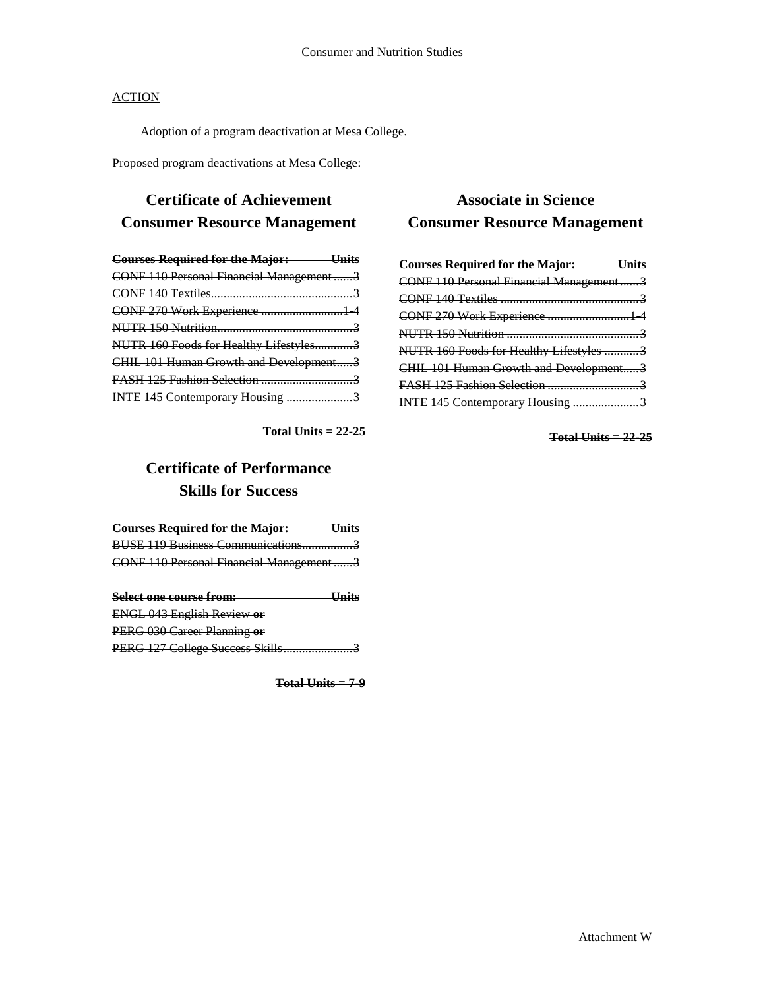Adoption of a program deactivation at Mesa College.

Proposed program deactivations at Mesa College:

## **Certificate of Achievement Consumer Resource Management**

| <b>Courses Required for the Major:</b> Units |  |
|----------------------------------------------|--|
| CONF 110 Personal Financial Management3      |  |
|                                              |  |
| CONF 270 Work Experience  1 4                |  |
|                                              |  |
| NUTR 160 Foods for Healthy Lifestyles3       |  |
| CHIL 101 Human Growth and Development3       |  |
|                                              |  |
| INTE 145 Contemporary Housing 3              |  |

**Total Units = 22-25**

## **Certificate of Performance Skills for Success**

| <b>Courses Required for the Major:</b>  |  |
|-----------------------------------------|--|
| BUSE 119 Business Communications3       |  |
| CONF 110 Personal Financial Management3 |  |
|                                         |  |

| Select one course from:           | <del>Units</del> |
|-----------------------------------|------------------|
| <b>ENGL 043 English Review or</b> |                  |
| PERG 030 Career Planning or       |                  |
| PERG 127 College Success Skills   |                  |

**Total Units = 7-9**

## **Associate in Science Consumer Resource Management**

| <b>Courses Required for the Major: Units</b> |  |
|----------------------------------------------|--|
| CONF 110 Personal Financial Management3      |  |
|                                              |  |
| CONF 270 Work Experience  1 4                |  |
|                                              |  |
| NUTR 160 Foods for Healthy Lifestyles 3      |  |
| CHIL 101 Human Growth and Development3       |  |
| FASH 125 Fashion Selection 3                 |  |
| INTE 145 Contemporary Housing 3              |  |

**Total Units = 22-25**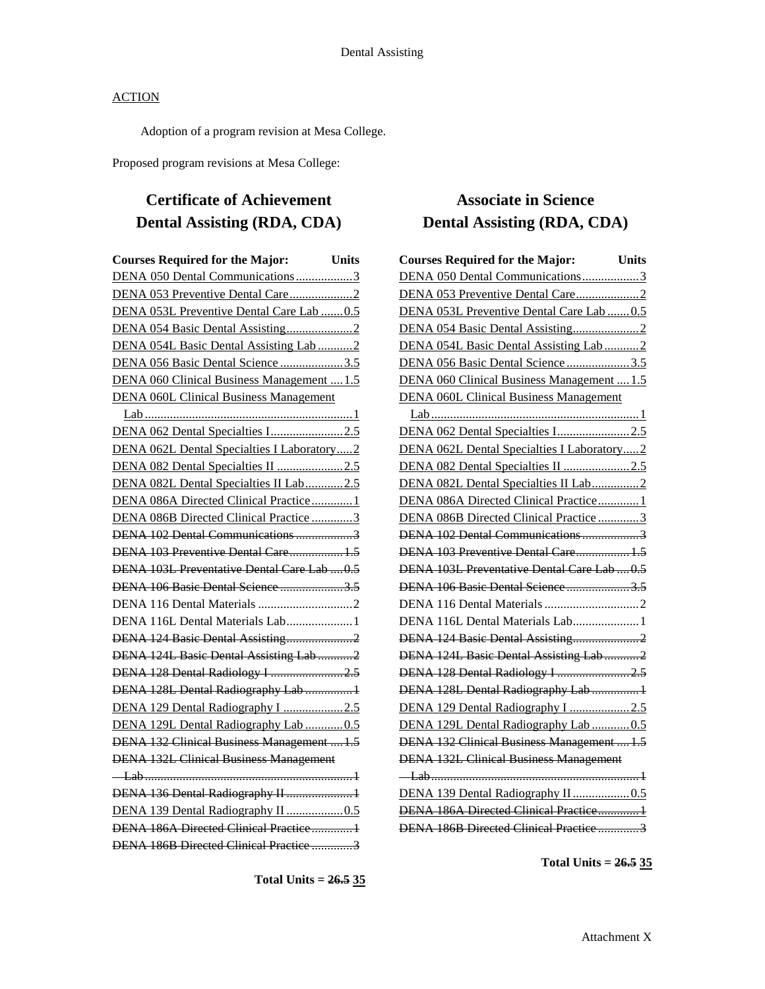Adoption of a program revision at Mesa College.

Proposed program revisions at Mesa College:

# **Certificate of Achievement Dental Assisting (RDA, CDA)**

| <b>Courses Required for the Major:</b>        | <b>Units</b> |
|-----------------------------------------------|--------------|
| DENA 050 Dental Communications3               |              |
| DENA 053 Preventive Dental Care2              |              |
| DENA 053L Preventive Dental Care Lab 0.5      |              |
|                                               |              |
| DENA 054L Basic Dental Assisting Lab 2        |              |
| DENA 056 Basic Dental Science 3.5             |              |
| DENA 060 Clinical Business Management  1.5    |              |
| <b>DENA 060L Clinical Business Management</b> |              |
|                                               |              |
| DENA 062 Dental Specialties I2.5              |              |
| DENA 062L Dental Specialties I Laboratory2    |              |
| DENA 082 Dental Specialties II 2.5            |              |
| DENA 082L Dental Specialties II Lab2.5        |              |
| DENA 086A Directed Clinical Practice1         |              |
| DENA 086B Directed Clinical Practice 3        |              |
| DENA 102 Dental Communications 3              |              |
| DENA 103 Preventive Dental Care 1.5           |              |
| DENA 103L Preventative Dental Care Lab  0.5   |              |
| DENA 106 Basic Dental Science 3.5             |              |
|                                               |              |
| DENA 116L Dental Materials Lab1               |              |
| DENA 124 Basic Dental Assisting2              |              |
| DENA 124L Basic Dental Assisting Lab 2        |              |
| DENA 128 Dental Radiology I 2.5               |              |
| DENA 128L Dental Radiography Lab 1            |              |
| DENA 129 Dental Radiography I 2.5             |              |
| DENA 129L Dental Radiography Lab 0.5          |              |
| DENA 132 Clinical Business Management  1.5    |              |
| <b>DENA 132L Clinical Business Management</b> |              |
|                                               |              |
| DENA 136 Dental Radiography II  1             |              |
|                                               |              |
| DENA 186A Directed Clinical Practice1         |              |
| DENA 186B Directed Clinical Practice 3        |              |

# **Associate in Science Dental Assisting (RDA, CDA)**

| <b>Courses Required for the Major:</b>        | <b>Units</b> |
|-----------------------------------------------|--------------|
| DENA 050 Dental Communications3               |              |
|                                               |              |
| DENA 053L Preventive Dental Care Lab  0.5     |              |
|                                               |              |
| DENA 054L Basic Dental Assisting Lab2         |              |
| DENA 056 Basic Dental Science 3.5             |              |
| DENA 060 Clinical Business Management  1.5    |              |
| <b>DENA 060L Clinical Business Management</b> |              |
|                                               |              |
| DENA 062 Dental Specialties I2.5              |              |
| DENA 062L Dental Specialties I Laboratory2    |              |
| DENA 082 Dental Specialties II 2.5            |              |
| DENA 082L Dental Specialties II Lab2          |              |
| DENA 086A Directed Clinical Practice 1        |              |
| DENA 086B Directed Clinical Practice3         |              |
| DENA 102 Dental Communications3               |              |
| DENA 103 Preventive Dental Care 1.5           |              |
| DENA 103L Preventative Dental Care Lab  0.5   |              |
| DENA 106 Basic Dental Science3.5              |              |
|                                               |              |
| DENA 116L Dental Materials Lab 1              |              |
| DENA 124 Basic Dental Assisting2              |              |
| DENA 124L Basic Dental Assisting Lab 2        |              |
| DENA 128 Dental Radiology I 2.5               |              |
| DENA 128L Dental Radiography Lab  1           |              |
| DENA 129 Dental Radiography I 2.5             |              |
| DENA 129L Dental Radiography Lab  0.5         |              |
| DENA 132 Clinical Business Management  1.5    |              |
| <b>DENA 132L Clinical Business Management</b> |              |
|                                               |              |
| DENA 139 Dental Radiography II  0.5           |              |
| DENA 186A Directed Clinical Practice1         |              |
| DENA 186B Directed Clinical Practice 3        |              |

**Total Units = 26.5 35**

**Total Units = 26.5 35**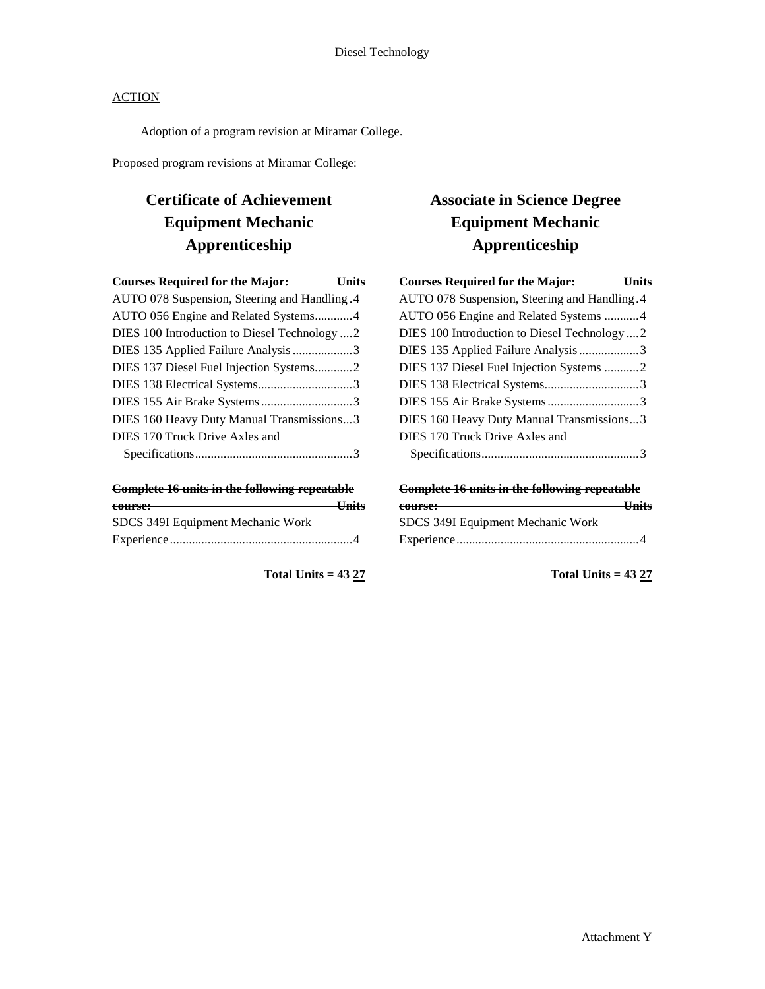Adoption of a program revision at Miramar College.

Proposed program revisions at Miramar College:

# **Certificate of Achievement Equipment Mechanic Apprenticeship**

| <b>Courses Required for the Major:</b>        | <b>Units</b> |
|-----------------------------------------------|--------------|
| AUTO 078 Suspension, Steering and Handling .4 |              |
| AUTO 056 Engine and Related Systems4          |              |
| DIES 100 Introduction to Diesel Technology  2 |              |
| DIES 135 Applied Failure Analysis 3           |              |
| DIES 137 Diesel Fuel Injection Systems2       |              |
|                                               |              |
|                                               |              |
| DIES 160 Heavy Duty Manual Transmissions3     |              |
| DIES 170 Truck Drive Axles and                |              |
|                                               |              |

| <b>Complete 16 units in the following repeatable</b> |                    |
|------------------------------------------------------|--------------------|
| course:                                              | <del>- Units</del> |
| SDCS 349I Equipment Mechanic Work                    |                    |
|                                                      |                    |

**Total Units = 43 27**

# **Associate in Science Degree Equipment Mechanic Apprenticeship**

| <b>Courses Required for the Major:</b>        | Units |
|-----------------------------------------------|-------|
| AUTO 078 Suspension, Steering and Handling. 4 |       |
| AUTO 056 Engine and Related Systems  4        |       |
| DIES 100 Introduction to Diesel Technology  2 |       |
| DIES 135 Applied Failure Analysis3            |       |
| DIES 137 Diesel Fuel Injection Systems 2      |       |
|                                               |       |
|                                               |       |
| DIES 160 Heavy Duty Manual Transmissions3     |       |
| DIES 170 Truck Drive Axles and                |       |
|                                               |       |
|                                               |       |

| <b>Complete 16 units in the following repeatable</b> |  |
|------------------------------------------------------|--|
| course:                                              |  |
| SDCS 349I Equipment Mechanic Work                    |  |
|                                                      |  |

**Total Units = 43 27**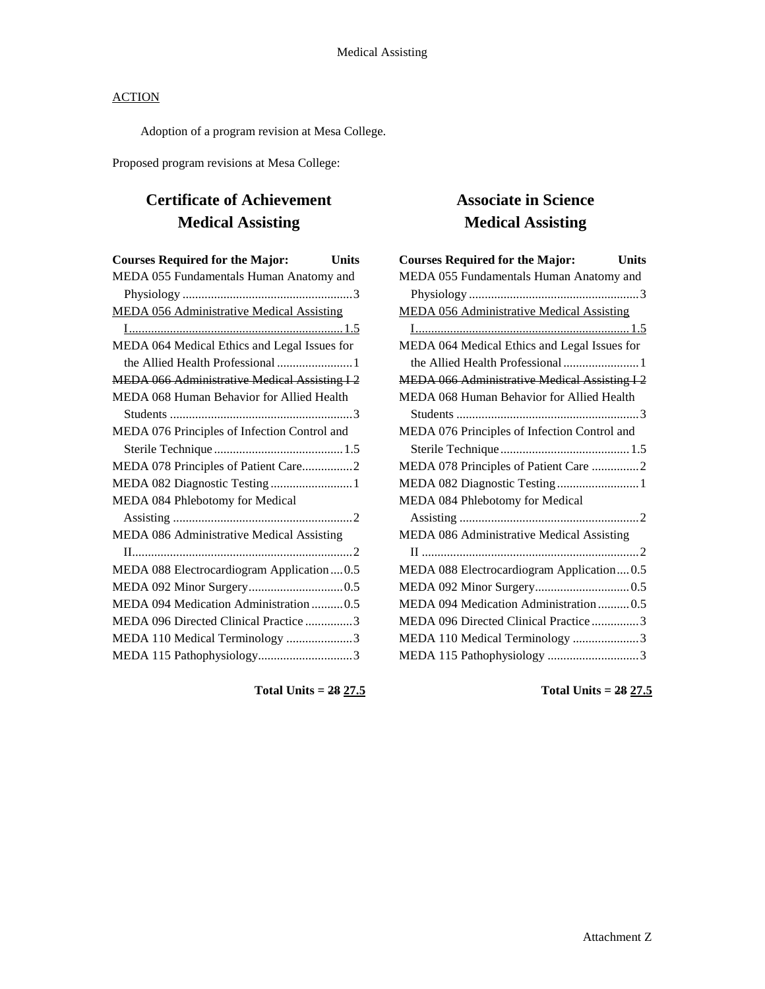Adoption of a program revision at Mesa College.

Proposed program revisions at Mesa College:

# **Certificate of Achievement Medical Assisting**

| <b>Courses Required for the Major:</b><br><b>Units</b> |  |
|--------------------------------------------------------|--|
| MEDA 055 Fundamentals Human Anatomy and                |  |
|                                                        |  |
| <b>MEDA 056 Administrative Medical Assisting</b>       |  |
|                                                        |  |
| MEDA 064 Medical Ethics and Legal Issues for           |  |
| the Allied Health Professional  1                      |  |
| <b>MEDA 066 Administrative Medical Assisting I2</b>    |  |
| MEDA 068 Human Behavior for Allied Health              |  |
|                                                        |  |
| MEDA 076 Principles of Infection Control and           |  |
|                                                        |  |
| MEDA 078 Principles of Patient Care2                   |  |
| MEDA 082 Diagnostic Testing  1                         |  |
| MEDA 084 Phlebotomy for Medical                        |  |
|                                                        |  |
| MEDA 086 Administrative Medical Assisting              |  |
|                                                        |  |
| MEDA 088 Electrocardiogram Application0.5              |  |
|                                                        |  |
| MEDA 094 Medication Administration 0.5                 |  |
| MEDA 096 Directed Clinical Practice 3                  |  |
| MEDA 110 Medical Terminology 3                         |  |
| MEDA 115 Pathophysiology3                              |  |
|                                                        |  |

# **Associate in Science Medical Assisting**

**Total Units = 28 27.5**

**Total Units = 28 27.5**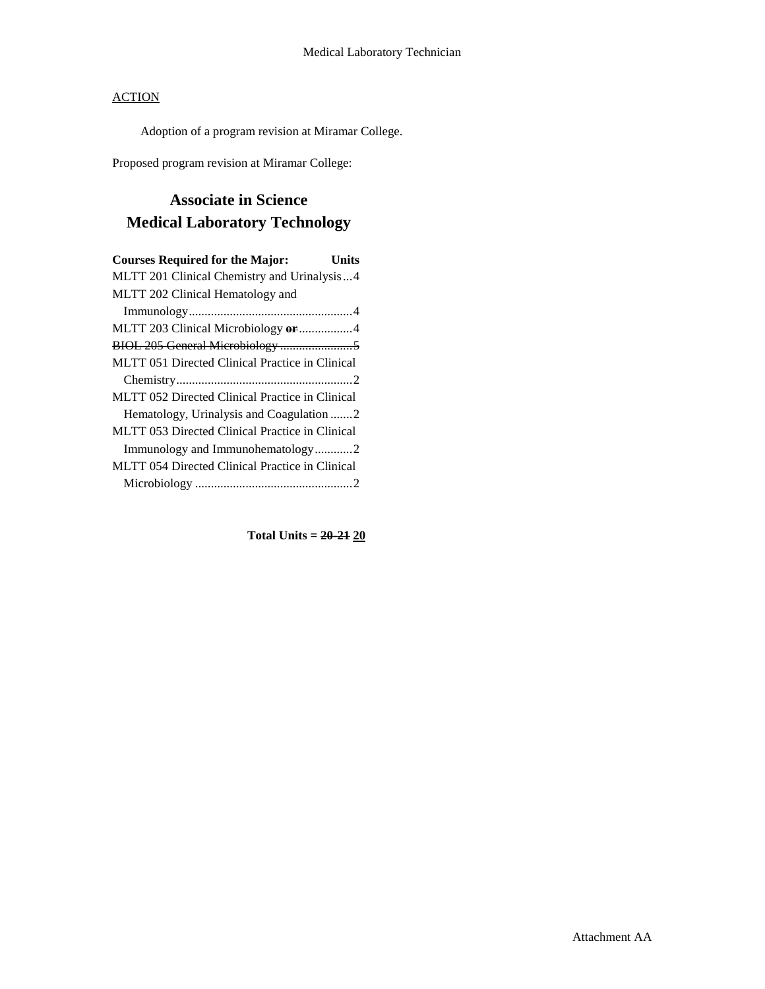Adoption of a program revision at Miramar College.

Proposed program revision at Miramar College:

# **Associate in Science Medical Laboratory Technology**

| <b>Courses Required for the Major:</b><br>Units        |
|--------------------------------------------------------|
| MLTT 201 Clinical Chemistry and Urinalysis4            |
| MLTT 202 Clinical Hematology and                       |
|                                                        |
| MLTT 203 Clinical Microbiology or 4                    |
|                                                        |
| MLTT 051 Directed Clinical Practice in Clinical        |
|                                                        |
| MLTT 052 Directed Clinical Practice in Clinical        |
| Hematology, Urinalysis and Coagulation 2               |
| MLTT 053 Directed Clinical Practice in Clinical        |
| Immunology and Immunohematology2                       |
| <b>MLTT 054 Directed Clinical Practice in Clinical</b> |
|                                                        |

**Total Units = 20-21 20**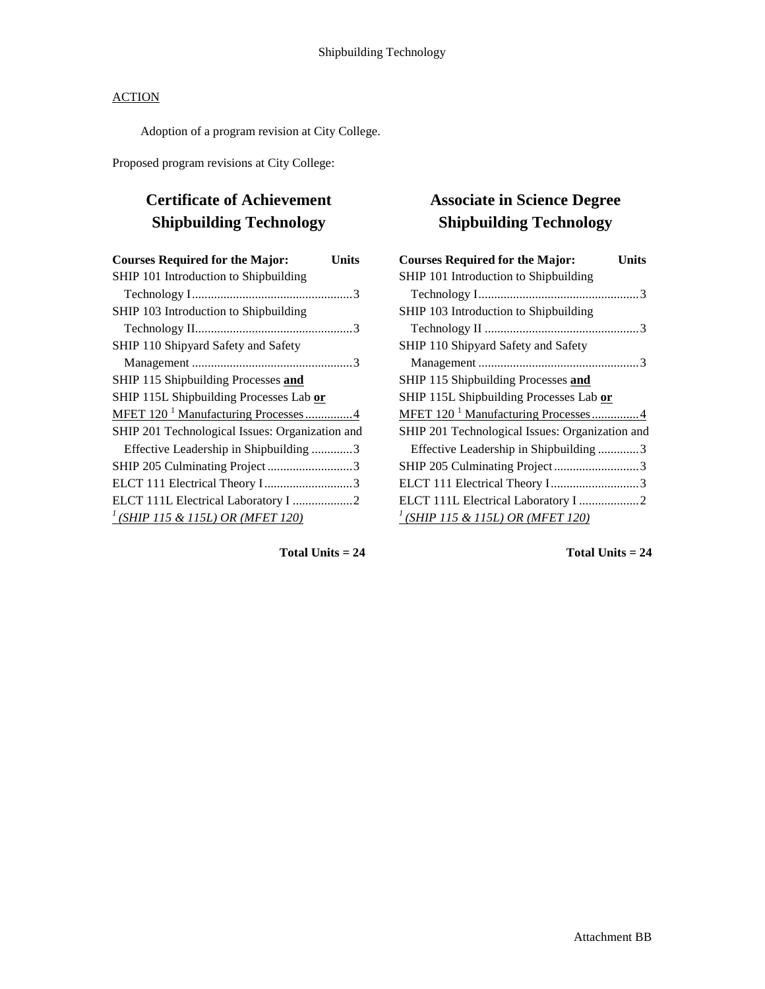Adoption of a program revision at City College.

Proposed program revisions at City College:

# **Certificate of Achievement Shipbuilding Technology**

| <b>Courses Required for the Major:</b><br>Units |  |
|-------------------------------------------------|--|
| SHIP 101 Introduction to Shipbuilding           |  |
|                                                 |  |
| SHIP 103 Introduction to Shipbuilding           |  |
|                                                 |  |
| SHIP 110 Shipyard Safety and Safety             |  |
|                                                 |  |
| SHIP 115 Shipbuilding Processes and             |  |
| SHIP 115L Shipbuilding Processes Lab or         |  |
| MFET 120 <sup>1</sup> Manufacturing Processes4  |  |
| SHIP 201 Technological Issues: Organization and |  |
| Effective Leadership in Shipbuilding 3          |  |
|                                                 |  |
| ELCT 111 Electrical Theory I 3                  |  |
| ELCT 111L Electrical Laboratory I 2             |  |
| $\frac{1}{2}$ (SHIP 115 & 115L) OR (MFET 120)   |  |

# **Associate in Science Degree Shipbuilding Technology**

| <b>Courses Required for the Major:</b><br>Units |
|-------------------------------------------------|
| SHIP 101 Introduction to Shipbuilding           |
|                                                 |
| SHIP 103 Introduction to Shipbuilding           |
|                                                 |
| SHIP 110 Shipyard Safety and Safety             |
|                                                 |
| SHIP 115 Shipbuilding Processes and             |
| SHIP 115L Shipbuilding Processes Lab or         |
| MFET 120 <sup>1</sup> Manufacturing Processes4  |
| SHIP 201 Technological Issues: Organization and |
| Effective Leadership in Shipbuilding 3          |
|                                                 |
| ELCT 111 Electrical Theory I3                   |
| ELCT 111L Electrical Laboratory I 2             |
| $^{1}$ (SHIP 115 & 115L) OR (MFET 120)          |

**Total Units = 24**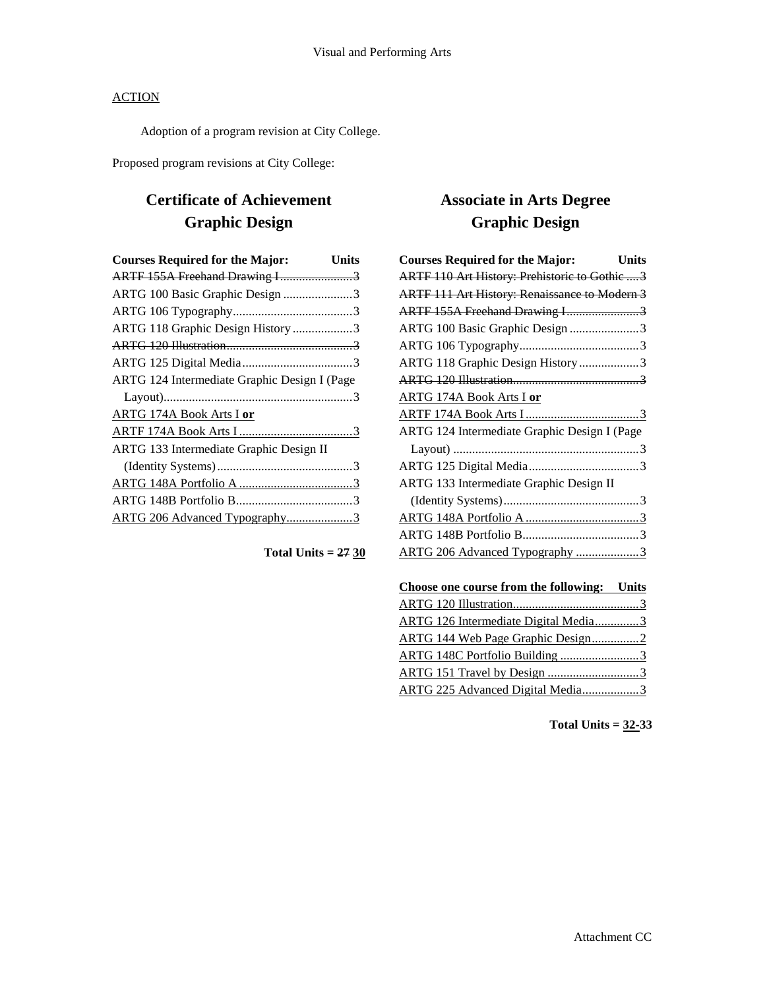Adoption of a program revision at City College.

Proposed program revisions at City College:

# **Certificate of Achievement Graphic Design**

| <b>Courses Required for the Major:</b>       | <b>Units</b> |
|----------------------------------------------|--------------|
| ARTF 155A Freehand Drawing I3                |              |
| ARTG 100 Basic Graphic Design 3              |              |
|                                              |              |
| ARTG 118 Graphic Design History 3            |              |
|                                              |              |
|                                              |              |
| ARTG 124 Intermediate Graphic Design I (Page |              |
|                                              |              |
| <b>ARTG 174A Book Arts I or</b>              |              |
|                                              |              |
| ARTG 133 Intermediate Graphic Design II      |              |
|                                              |              |
|                                              |              |
|                                              |              |
| ARTG 206 Advanced Typography3                |              |

## **Total Units = 27 30**

# **Associate in Arts Degree Graphic Design**

| <b>Courses Required for the Major:</b>               | <b>Units</b> |
|------------------------------------------------------|--------------|
| ARTF 110 Art History: Prehistoric to Gothic  3       |              |
| <b>ARTF 111 Art History: Renaissance to Modern 3</b> |              |
| ARTF 155A Freehand Drawing I3                        |              |
| ARTG 100 Basic Graphic Design 3                      |              |
|                                                      |              |
| ARTG 118 Graphic Design History 3                    |              |
|                                                      |              |
| <b>ARTG 174A Book Arts I or</b>                      |              |
|                                                      |              |
| ARTG 124 Intermediate Graphic Design I (Page         |              |
|                                                      |              |
|                                                      |              |
| ARTG 133 Intermediate Graphic Design II              |              |
|                                                      |              |
|                                                      |              |
|                                                      |              |
| ARTG 206 Advanced Typography 3                       |              |
|                                                      |              |

| Choose one course from the following: Units |  |
|---------------------------------------------|--|
|                                             |  |
| ARTG 126 Intermediate Digital Media3        |  |
| ARTG 144 Web Page Graphic Design2           |  |
|                                             |  |
|                                             |  |
| ARTG 225 Advanced Digital Media3            |  |

**Total Units = 32-33**